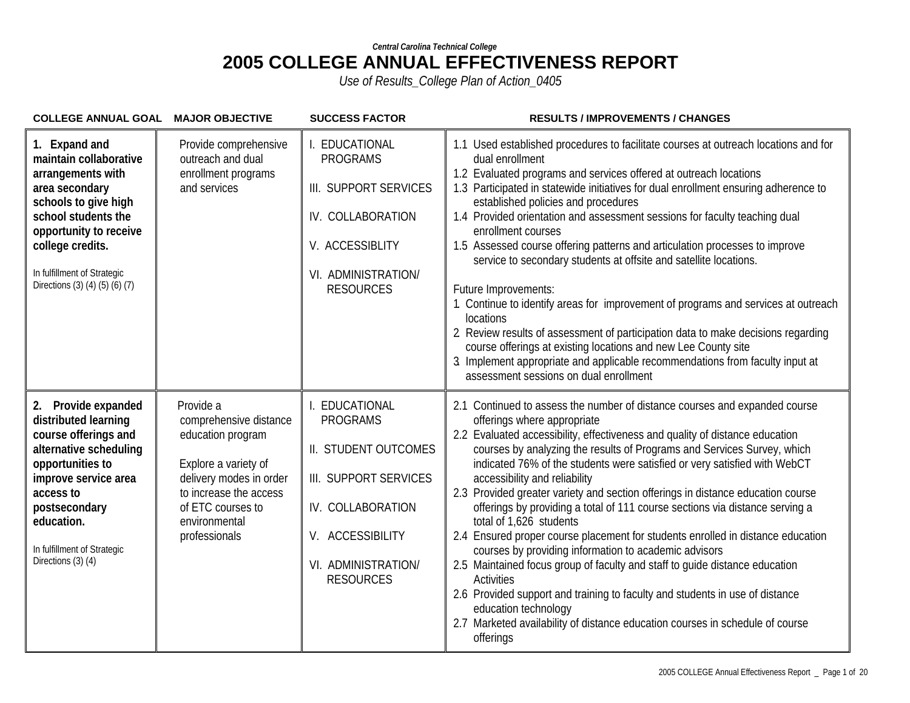| COLLEGE ANNUAL GOAL MAJOR OBJECTIVE                                                                                                                                                                                                          |                                                                                                                                                                                              | <b>SUCCESS FACTOR</b>                                                                                                                                                  | <b>RESULTS / IMPROVEMENTS / CHANGES</b>                                                                                                                                                                                                                                                                                                                                                                                                                                                                                                                                                                                                                                                                                                                                                                                                                                                                                                                                                                                                |
|----------------------------------------------------------------------------------------------------------------------------------------------------------------------------------------------------------------------------------------------|----------------------------------------------------------------------------------------------------------------------------------------------------------------------------------------------|------------------------------------------------------------------------------------------------------------------------------------------------------------------------|----------------------------------------------------------------------------------------------------------------------------------------------------------------------------------------------------------------------------------------------------------------------------------------------------------------------------------------------------------------------------------------------------------------------------------------------------------------------------------------------------------------------------------------------------------------------------------------------------------------------------------------------------------------------------------------------------------------------------------------------------------------------------------------------------------------------------------------------------------------------------------------------------------------------------------------------------------------------------------------------------------------------------------------|
| 1. Expand and<br>maintain collaborative<br>arrangements with<br>area secondary<br>schools to give high<br>school students the<br>opportunity to receive<br>college credits.<br>In fulfillment of Strategic<br>Directions (3) (4) (5) (6) (7) | Provide comprehensive<br>outreach and dual<br>enrollment programs<br>and services                                                                                                            | I. EDUCATIONAL<br><b>PROGRAMS</b><br>III. SUPPORT SERVICES<br>IV. COLLABORATION<br>V. ACCESSIBLITY<br>VI. ADMINISTRATION/<br><b>RESOURCES</b>                          | 1.1 Used established procedures to facilitate courses at outreach locations and for<br>dual enrollment<br>1.2 Evaluated programs and services offered at outreach locations<br>1.3 Participated in statewide initiatives for dual enrollment ensuring adherence to<br>established policies and procedures<br>1.4 Provided orientation and assessment sessions for faculty teaching dual<br>enrollment courses<br>1.5 Assessed course offering patterns and articulation processes to improve<br>service to secondary students at offsite and satellite locations.<br>Future Improvements:<br>1. Continue to identify areas for improvement of programs and services at outreach<br>locations<br>2 Review results of assessment of participation data to make decisions regarding<br>course offerings at existing locations and new Lee County site<br>Implement appropriate and applicable recommendations from faculty input at<br>assessment sessions on dual enrollment                                                             |
| 2. Provide expanded<br>distributed learning<br>course offerings and<br>alternative scheduling<br>opportunities to<br>improve service area<br>access to<br>postsecondary<br>education.<br>In fulfillment of Strategic<br>Directions (3) (4)   | Provide a<br>comprehensive distance<br>education program<br>Explore a variety of<br>delivery modes in order<br>to increase the access<br>of ETC courses to<br>environmental<br>professionals | I. EDUCATIONAL<br><b>PROGRAMS</b><br>II. STUDENT OUTCOMES<br>III. SUPPORT SERVICES<br>IV. COLLABORATION<br>V. ACCESSIBILITY<br>VI. ADMINISTRATION/<br><b>RESOURCES</b> | 2.1 Continued to assess the number of distance courses and expanded course<br>offerings where appropriate<br>2.2 Evaluated accessibility, effectiveness and quality of distance education<br>courses by analyzing the results of Programs and Services Survey, which<br>indicated 76% of the students were satisfied or very satisfied with WebCT<br>accessibility and reliability<br>2.3 Provided greater variety and section offerings in distance education course<br>offerings by providing a total of 111 course sections via distance serving a<br>total of 1,626 students<br>2.4 Ensured proper course placement for students enrolled in distance education<br>courses by providing information to academic advisors<br>2.5 Maintained focus group of faculty and staff to guide distance education<br><b>Activities</b><br>2.6 Provided support and training to faculty and students in use of distance<br>education technology<br>2.7 Marketed availability of distance education courses in schedule of course<br>offerings |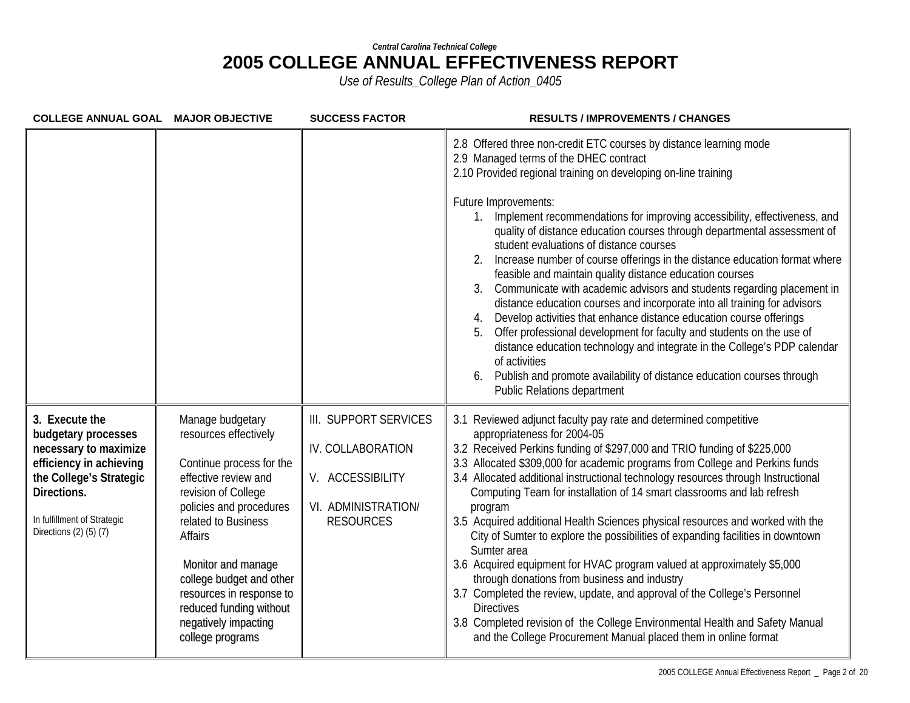| COLLEGE ANNUAL GOAL MAJOR OBJECTIVE                                                                                                                                                          |                                                                                                                                                                                                                                                                                                                                        | <b>SUCCESS FACTOR</b>                                                                                     | <b>RESULTS / IMPROVEMENTS / CHANGES</b>                                                                                                                                                                                                                                                                                                                                                                                                                                                                                                                                                                                                                                                                                                                                                                                                                                                                                                                                                                                                                                                     |
|----------------------------------------------------------------------------------------------------------------------------------------------------------------------------------------------|----------------------------------------------------------------------------------------------------------------------------------------------------------------------------------------------------------------------------------------------------------------------------------------------------------------------------------------|-----------------------------------------------------------------------------------------------------------|---------------------------------------------------------------------------------------------------------------------------------------------------------------------------------------------------------------------------------------------------------------------------------------------------------------------------------------------------------------------------------------------------------------------------------------------------------------------------------------------------------------------------------------------------------------------------------------------------------------------------------------------------------------------------------------------------------------------------------------------------------------------------------------------------------------------------------------------------------------------------------------------------------------------------------------------------------------------------------------------------------------------------------------------------------------------------------------------|
|                                                                                                                                                                                              |                                                                                                                                                                                                                                                                                                                                        |                                                                                                           | 2.8 Offered three non-credit ETC courses by distance learning mode<br>2.9 Managed terms of the DHEC contract<br>2.10 Provided regional training on developing on-line training<br>Future Improvements:<br>Implement recommendations for improving accessibility, effectiveness, and<br>quality of distance education courses through departmental assessment of<br>student evaluations of distance courses<br>Increase number of course offerings in the distance education format where<br>feasible and maintain quality distance education courses<br>Communicate with academic advisors and students regarding placement in<br>3.<br>distance education courses and incorporate into all training for advisors<br>Develop activities that enhance distance education course offerings<br>4.<br>Offer professional development for faculty and students on the use of<br>5.<br>distance education technology and integrate in the College's PDP calendar<br>of activities<br>Publish and promote availability of distance education courses through<br><b>Public Relations department</b> |
| 3. Execute the<br>budgetary processes<br>necessary to maximize<br>efficiency in achieving<br>the College's Strategic<br>Directions.<br>In fulfillment of Strategic<br>Directions (2) (5) (7) | Manage budgetary<br>resources effectively<br>Continue process for the<br>effective review and<br>revision of College<br>policies and procedures<br>related to Business<br>Affairs<br>Monitor and manage<br>college budget and other<br>resources in response to<br>reduced funding without<br>negatively impacting<br>college programs | III. SUPPORT SERVICES<br>IV. COLLABORATION<br>V. ACCESSIBILITY<br>VI. ADMINISTRATION/<br><b>RESOURCES</b> | 3.1 Reviewed adjunct faculty pay rate and determined competitive<br>appropriateness for 2004-05<br>3.2 Received Perkins funding of \$297,000 and TRIO funding of \$225,000<br>3.3 Allocated \$309,000 for academic programs from College and Perkins funds<br>3.4 Allocated additional instructional technology resources through Instructional<br>Computing Team for installation of 14 smart classrooms and lab refresh<br>program<br>3.5 Acquired additional Health Sciences physical resources and worked with the<br>City of Sumter to explore the possibilities of expanding facilities in downtown<br>Sumter area<br>3.6 Acquired equipment for HVAC program valued at approximately \$5,000<br>through donations from business and industry<br>3.7 Completed the review, update, and approval of the College's Personnel<br><b>Directives</b><br>3.8 Completed revision of the College Environmental Health and Safety Manual<br>and the College Procurement Manual placed them in online format                                                                                    |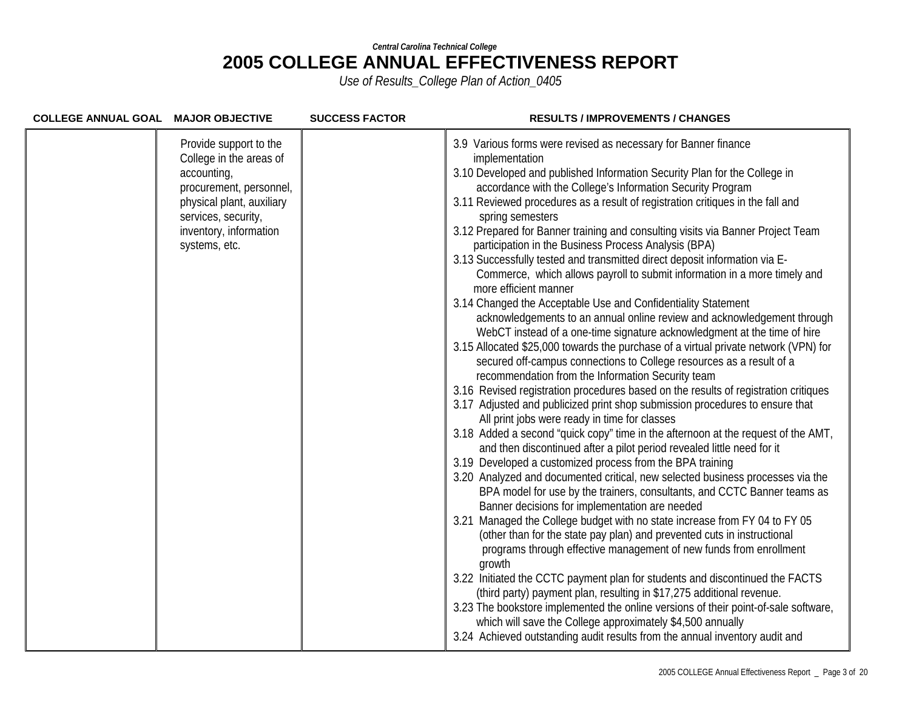| COLLEGE ANNUAL GOAL MAJOR OBJECTIVE |                                                                                                                                                                                            | <b>SUCCESS FACTOR</b> | <b>RESULTS / IMPROVEMENTS / CHANGES</b>                                                                                                                                                                                                                                                                                                                                                                                                                                                                                                                                                                                                                                                                                                                                                                                                                                                                                                                                                                                                                                                                                                                                                                                                                                                                                                                                                                                                                                                                                                                                                                                                                                                                                                                                                                                                                                                                                                                                                                                                                                                                                                                                                                                                                                                                                                                                                                                |
|-------------------------------------|--------------------------------------------------------------------------------------------------------------------------------------------------------------------------------------------|-----------------------|------------------------------------------------------------------------------------------------------------------------------------------------------------------------------------------------------------------------------------------------------------------------------------------------------------------------------------------------------------------------------------------------------------------------------------------------------------------------------------------------------------------------------------------------------------------------------------------------------------------------------------------------------------------------------------------------------------------------------------------------------------------------------------------------------------------------------------------------------------------------------------------------------------------------------------------------------------------------------------------------------------------------------------------------------------------------------------------------------------------------------------------------------------------------------------------------------------------------------------------------------------------------------------------------------------------------------------------------------------------------------------------------------------------------------------------------------------------------------------------------------------------------------------------------------------------------------------------------------------------------------------------------------------------------------------------------------------------------------------------------------------------------------------------------------------------------------------------------------------------------------------------------------------------------------------------------------------------------------------------------------------------------------------------------------------------------------------------------------------------------------------------------------------------------------------------------------------------------------------------------------------------------------------------------------------------------------------------------------------------------------------------------------------------------|
|                                     | Provide support to the<br>College in the areas of<br>accounting,<br>procurement, personnel,<br>physical plant, auxiliary<br>services, security,<br>inventory, information<br>systems, etc. |                       | 3.9 Various forms were revised as necessary for Banner finance<br>implementation<br>3.10 Developed and published Information Security Plan for the College in<br>accordance with the College's Information Security Program<br>3.11 Reviewed procedures as a result of registration critiques in the fall and<br>spring semesters<br>3.12 Prepared for Banner training and consulting visits via Banner Project Team<br>participation in the Business Process Analysis (BPA)<br>3.13 Successfully tested and transmitted direct deposit information via E-<br>Commerce, which allows payroll to submit information in a more timely and<br>more efficient manner<br>3.14 Changed the Acceptable Use and Confidentiality Statement<br>acknowledgements to an annual online review and acknowledgement through<br>WebCT instead of a one-time signature acknowledgment at the time of hire<br>3.15 Allocated \$25,000 towards the purchase of a virtual private network (VPN) for<br>secured off-campus connections to College resources as a result of a<br>recommendation from the Information Security team<br>3.16 Revised registration procedures based on the results of registration critiques<br>3.17 Adjusted and publicized print shop submission procedures to ensure that<br>All print jobs were ready in time for classes<br>3.18 Added a second "quick copy" time in the afternoon at the request of the AMT,<br>and then discontinued after a pilot period revealed little need for it<br>3.19 Developed a customized process from the BPA training<br>3.20 Analyzed and documented critical, new selected business processes via the<br>BPA model for use by the trainers, consultants, and CCTC Banner teams as<br>Banner decisions for implementation are needed<br>3.21 Managed the College budget with no state increase from FY 04 to FY 05<br>(other than for the state pay plan) and prevented cuts in instructional<br>programs through effective management of new funds from enrollment<br>growth<br>3.22 Initiated the CCTC payment plan for students and discontinued the FACTS<br>(third party) payment plan, resulting in \$17,275 additional revenue.<br>3.23 The bookstore implemented the online versions of their point-of-sale software,<br>which will save the College approximately \$4,500 annually<br>3.24 Achieved outstanding audit results from the annual inventory audit and |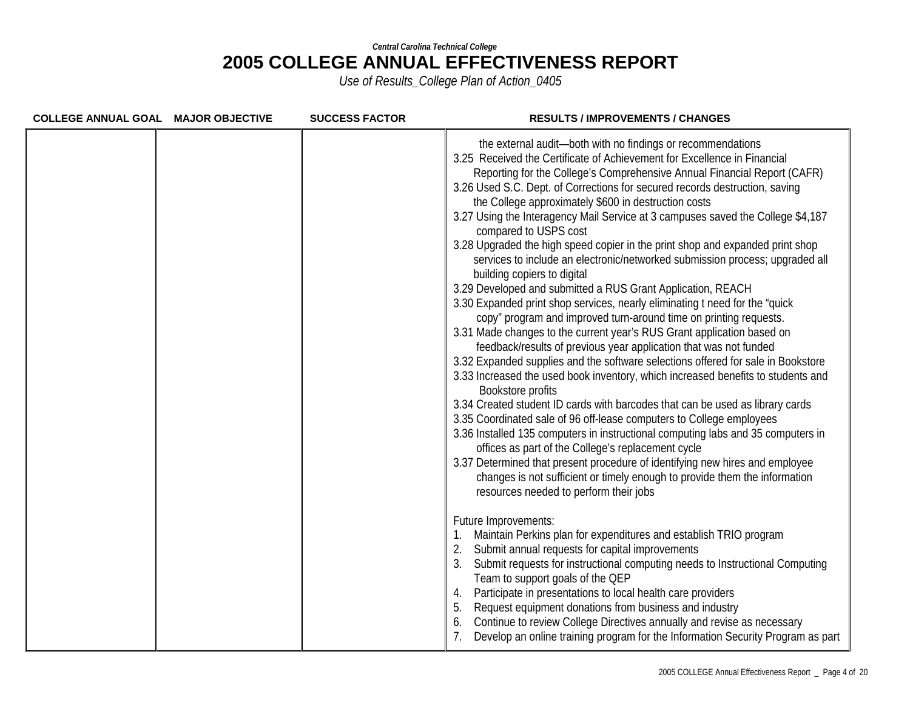| COLLEGE ANNUAL GOAL MAJOR OBJECTIVE | <b>SUCCESS FACTOR</b> | <b>RESULTS / IMPROVEMENTS / CHANGES</b>                                                                                                                                                                                                                                                                                                                                                                                                                                                                                                                                                                                                                                                                                                                                                                                                                                                                                                                                                                                                                                                                                                                                                                                                                                                                                                                                                                                                                                                                                                                                                                                                                                                                                                          |
|-------------------------------------|-----------------------|--------------------------------------------------------------------------------------------------------------------------------------------------------------------------------------------------------------------------------------------------------------------------------------------------------------------------------------------------------------------------------------------------------------------------------------------------------------------------------------------------------------------------------------------------------------------------------------------------------------------------------------------------------------------------------------------------------------------------------------------------------------------------------------------------------------------------------------------------------------------------------------------------------------------------------------------------------------------------------------------------------------------------------------------------------------------------------------------------------------------------------------------------------------------------------------------------------------------------------------------------------------------------------------------------------------------------------------------------------------------------------------------------------------------------------------------------------------------------------------------------------------------------------------------------------------------------------------------------------------------------------------------------------------------------------------------------------------------------------------------------|
|                                     |                       | the external audit-both with no findings or recommendations<br>3.25 Received the Certificate of Achievement for Excellence in Financial<br>Reporting for the College's Comprehensive Annual Financial Report (CAFR)<br>3.26 Used S.C. Dept. of Corrections for secured records destruction, saving<br>the College approximately \$600 in destruction costs<br>3.27 Using the Interagency Mail Service at 3 campuses saved the College \$4,187<br>compared to USPS cost<br>3.28 Upgraded the high speed copier in the print shop and expanded print shop<br>services to include an electronic/networked submission process; upgraded all<br>building copiers to digital<br>3.29 Developed and submitted a RUS Grant Application, REACH<br>3.30 Expanded print shop services, nearly eliminating t need for the "quick<br>copy" program and improved turn-around time on printing requests.<br>3.31 Made changes to the current year's RUS Grant application based on<br>feedback/results of previous year application that was not funded<br>3.32 Expanded supplies and the software selections offered for sale in Bookstore<br>3.33 Increased the used book inventory, which increased benefits to students and<br>Bookstore profits<br>3.34 Created student ID cards with barcodes that can be used as library cards<br>3.35 Coordinated sale of 96 off-lease computers to College employees<br>3.36 Installed 135 computers in instructional computing labs and 35 computers in<br>offices as part of the College's replacement cycle<br>3.37 Determined that present procedure of identifying new hires and employee<br>changes is not sufficient or timely enough to provide them the information<br>resources needed to perform their jobs |
|                                     |                       | Future Improvements:<br>Maintain Perkins plan for expenditures and establish TRIO program<br>Submit annual requests for capital improvements<br>3.<br>Submit requests for instructional computing needs to Instructional Computing<br>Team to support goals of the QEP<br>Participate in presentations to local health care providers<br>4.<br>Request equipment donations from business and industry<br>5.<br>Continue to review College Directives annually and revise as necessary<br>6.<br>Develop an online training program for the Information Security Program as part                                                                                                                                                                                                                                                                                                                                                                                                                                                                                                                                                                                                                                                                                                                                                                                                                                                                                                                                                                                                                                                                                                                                                                   |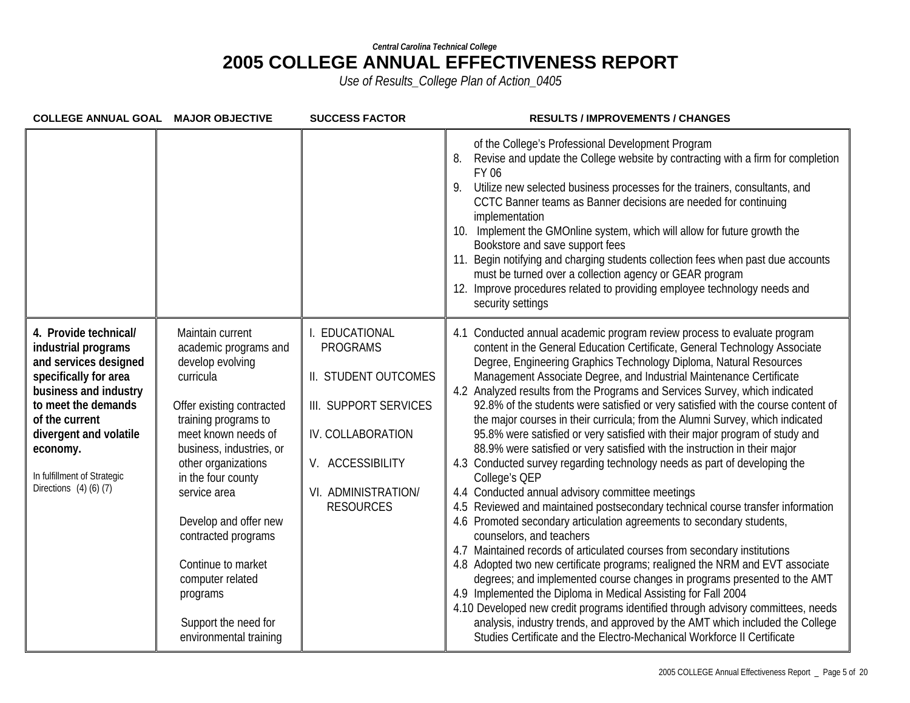| COLLEGE ANNUAL GOAL MAJOR OBJECTIVE                                                                                                                                                                                                                                   |                                                                                                                                                                                                                                                                                                                                                                                                         | <b>SUCCESS FACTOR</b>                                                                                                                                               | <b>RESULTS / IMPROVEMENTS / CHANGES</b>                                                                                                                                                                                                                                                                                                                                                                                                                                                                                                                                                                                                                                                                                                                                                                                                                                                                                                                                                                                                                                                                                                                                                                                                                                                                                                                                                                                                                                                                                                                                                                                      |
|-----------------------------------------------------------------------------------------------------------------------------------------------------------------------------------------------------------------------------------------------------------------------|---------------------------------------------------------------------------------------------------------------------------------------------------------------------------------------------------------------------------------------------------------------------------------------------------------------------------------------------------------------------------------------------------------|---------------------------------------------------------------------------------------------------------------------------------------------------------------------|------------------------------------------------------------------------------------------------------------------------------------------------------------------------------------------------------------------------------------------------------------------------------------------------------------------------------------------------------------------------------------------------------------------------------------------------------------------------------------------------------------------------------------------------------------------------------------------------------------------------------------------------------------------------------------------------------------------------------------------------------------------------------------------------------------------------------------------------------------------------------------------------------------------------------------------------------------------------------------------------------------------------------------------------------------------------------------------------------------------------------------------------------------------------------------------------------------------------------------------------------------------------------------------------------------------------------------------------------------------------------------------------------------------------------------------------------------------------------------------------------------------------------------------------------------------------------------------------------------------------------|
|                                                                                                                                                                                                                                                                       |                                                                                                                                                                                                                                                                                                                                                                                                         |                                                                                                                                                                     | of the College's Professional Development Program<br>Revise and update the College website by contracting with a firm for completion<br>8.<br>FY 06<br>Utilize new selected business processes for the trainers, consultants, and<br>9.<br>CCTC Banner teams as Banner decisions are needed for continuing<br>implementation<br>10. Implement the GMOnline system, which will allow for future growth the<br>Bookstore and save support fees<br>11. Begin notifying and charging students collection fees when past due accounts<br>must be turned over a collection agency or GEAR program<br>12. Improve procedures related to providing employee technology needs and<br>security settings                                                                                                                                                                                                                                                                                                                                                                                                                                                                                                                                                                                                                                                                                                                                                                                                                                                                                                                                |
| 4. Provide technical/<br>industrial programs<br>and services designed<br>specifically for area<br>business and industry<br>to meet the demands<br>of the current<br>divergent and volatile<br>economy.<br>In fulfillment of Strategic<br>Directions $(4)$ $(6)$ $(7)$ | Maintain current<br>academic programs and<br>develop evolving<br>curricula<br>Offer existing contracted<br>training programs to<br>meet known needs of<br>business, industries, or<br>other organizations<br>in the four county<br>service area<br>Develop and offer new<br>contracted programs<br>Continue to market<br>computer related<br>programs<br>Support the need for<br>environmental training | EDUCATIONAL<br><b>PROGRAMS</b><br>II. STUDENT OUTCOMES<br>III. SUPPORT SERVICES<br>IV. COLLABORATION<br>V. ACCESSIBILITY<br>VI. ADMINISTRATION/<br><b>RESOURCES</b> | 4.1 Conducted annual academic program review process to evaluate program<br>content in the General Education Certificate, General Technology Associate<br>Degree, Engineering Graphics Technology Diploma, Natural Resources<br>Management Associate Degree, and Industrial Maintenance Certificate<br>4.2 Analyzed results from the Programs and Services Survey, which indicated<br>92.8% of the students were satisfied or very satisfied with the course content of<br>the major courses in their curricula; from the Alumni Survey, which indicated<br>95.8% were satisfied or very satisfied with their major program of study and<br>88.9% were satisfied or very satisfied with the instruction in their major<br>4.3 Conducted survey regarding technology needs as part of developing the<br>College's QEP<br>4.4 Conducted annual advisory committee meetings<br>4.5 Reviewed and maintained postsecondary technical course transfer information<br>4.6 Promoted secondary articulation agreements to secondary students,<br>counselors, and teachers<br>4.7 Maintained records of articulated courses from secondary institutions<br>4.8 Adopted two new certificate programs; realigned the NRM and EVT associate<br>degrees; and implemented course changes in programs presented to the AMT<br>4.9 Implemented the Diploma in Medical Assisting for Fall 2004<br>4.10 Developed new credit programs identified through advisory committees, needs<br>analysis, industry trends, and approved by the AMT which included the College<br>Studies Certificate and the Electro-Mechanical Workforce II Certificate |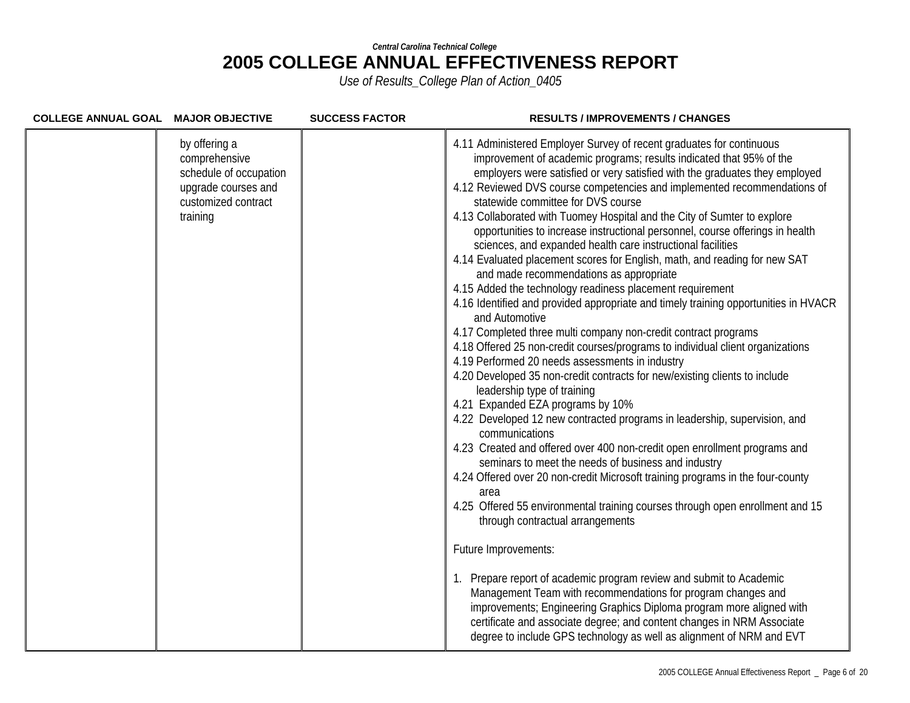| COLLEGE ANNUAL GOAL MAJOR OBJECTIVE |                                                                                                                    | <b>SUCCESS FACTOR</b> | <b>RESULTS / IMPROVEMENTS / CHANGES</b>                                                                                                                                                                                                                                                                                                                                                                                                                                                                                                                                                                                                                                                                                                                                                                                                                                                                                                                                                                                                                                                                                                                                                                                                                                                                                                                                                                                                                                                                                                                                                                                                                                                                                                                                                                                                                                                                                                                                                                                                                                      |
|-------------------------------------|--------------------------------------------------------------------------------------------------------------------|-----------------------|------------------------------------------------------------------------------------------------------------------------------------------------------------------------------------------------------------------------------------------------------------------------------------------------------------------------------------------------------------------------------------------------------------------------------------------------------------------------------------------------------------------------------------------------------------------------------------------------------------------------------------------------------------------------------------------------------------------------------------------------------------------------------------------------------------------------------------------------------------------------------------------------------------------------------------------------------------------------------------------------------------------------------------------------------------------------------------------------------------------------------------------------------------------------------------------------------------------------------------------------------------------------------------------------------------------------------------------------------------------------------------------------------------------------------------------------------------------------------------------------------------------------------------------------------------------------------------------------------------------------------------------------------------------------------------------------------------------------------------------------------------------------------------------------------------------------------------------------------------------------------------------------------------------------------------------------------------------------------------------------------------------------------------------------------------------------------|
|                                     | by offering a<br>comprehensive<br>schedule of occupation<br>upgrade courses and<br>customized contract<br>training |                       | 4.11 Administered Employer Survey of recent graduates for continuous<br>improvement of academic programs; results indicated that 95% of the<br>employers were satisfied or very satisfied with the graduates they employed<br>4.12 Reviewed DVS course competencies and implemented recommendations of<br>statewide committee for DVS course<br>4.13 Collaborated with Tuomey Hospital and the City of Sumter to explore<br>opportunities to increase instructional personnel, course offerings in health<br>sciences, and expanded health care instructional facilities<br>4.14 Evaluated placement scores for English, math, and reading for new SAT<br>and made recommendations as appropriate<br>4.15 Added the technology readiness placement requirement<br>4.16 Identified and provided appropriate and timely training opportunities in HVACR<br>and Automotive<br>4.17 Completed three multi company non-credit contract programs<br>4.18 Offered 25 non-credit courses/programs to individual client organizations<br>4.19 Performed 20 needs assessments in industry<br>4.20 Developed 35 non-credit contracts for new/existing clients to include<br>leadership type of training<br>4.21 Expanded EZA programs by 10%<br>4.22 Developed 12 new contracted programs in leadership, supervision, and<br>communications<br>4.23 Created and offered over 400 non-credit open enrollment programs and<br>seminars to meet the needs of business and industry<br>4.24 Offered over 20 non-credit Microsoft training programs in the four-county<br>area<br>4.25 Offered 55 environmental training courses through open enrollment and 15<br>through contractual arrangements<br>Future Improvements:<br>1. Prepare report of academic program review and submit to Academic<br>Management Team with recommendations for program changes and<br>improvements; Engineering Graphics Diploma program more aligned with<br>certificate and associate degree; and content changes in NRM Associate<br>degree to include GPS technology as well as alignment of NRM and EVT |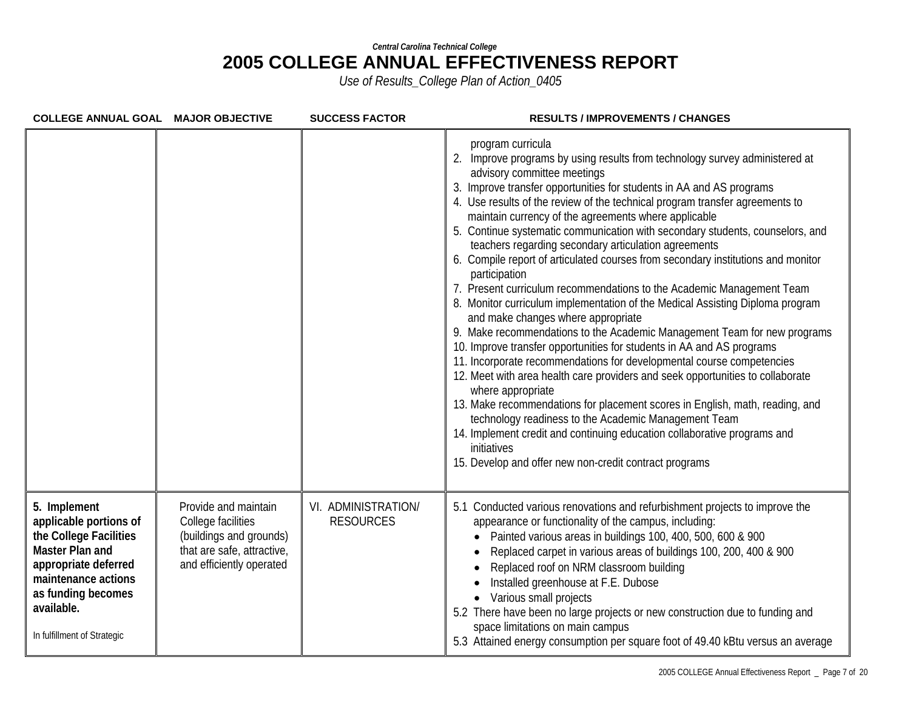| COLLEGE ANNUAL GOAL MAJOR OBJECTIVE                                                                                                                                                                   |                                                                                                                                 | <b>SUCCESS FACTOR</b>                   | <b>RESULTS / IMPROVEMENTS / CHANGES</b>                                                                                                                                                                                                                                                                                                                                                                                                                                                                                                                                                                                                                                                                                                                                                                                                                                                                                                                                                                                                                                                                                                                                                                                                                                                                                                                                                                                         |
|-------------------------------------------------------------------------------------------------------------------------------------------------------------------------------------------------------|---------------------------------------------------------------------------------------------------------------------------------|-----------------------------------------|---------------------------------------------------------------------------------------------------------------------------------------------------------------------------------------------------------------------------------------------------------------------------------------------------------------------------------------------------------------------------------------------------------------------------------------------------------------------------------------------------------------------------------------------------------------------------------------------------------------------------------------------------------------------------------------------------------------------------------------------------------------------------------------------------------------------------------------------------------------------------------------------------------------------------------------------------------------------------------------------------------------------------------------------------------------------------------------------------------------------------------------------------------------------------------------------------------------------------------------------------------------------------------------------------------------------------------------------------------------------------------------------------------------------------------|
|                                                                                                                                                                                                       |                                                                                                                                 |                                         | program curricula<br>2. Improve programs by using results from technology survey administered at<br>advisory committee meetings<br>3. Improve transfer opportunities for students in AA and AS programs<br>4. Use results of the review of the technical program transfer agreements to<br>maintain currency of the agreements where applicable<br>5. Continue systematic communication with secondary students, counselors, and<br>teachers regarding secondary articulation agreements<br>6. Compile report of articulated courses from secondary institutions and monitor<br>participation<br>7. Present curriculum recommendations to the Academic Management Team<br>8. Monitor curriculum implementation of the Medical Assisting Diploma program<br>and make changes where appropriate<br>9. Make recommendations to the Academic Management Team for new programs<br>10. Improve transfer opportunities for students in AA and AS programs<br>11. Incorporate recommendations for developmental course competencies<br>12. Meet with area health care providers and seek opportunities to collaborate<br>where appropriate<br>13. Make recommendations for placement scores in English, math, reading, and<br>technology readiness to the Academic Management Team<br>14. Implement credit and continuing education collaborative programs and<br>initiatives<br>15. Develop and offer new non-credit contract programs |
| 5. Implement<br>applicable portions of<br>the College Facilities<br>Master Plan and<br>appropriate deferred<br>maintenance actions<br>as funding becomes<br>available.<br>In fulfillment of Strategic | Provide and maintain<br>College facilities<br>(buildings and grounds)<br>that are safe, attractive,<br>and efficiently operated | VI. ADMINISTRATION/<br><b>RESOURCES</b> | 5.1 Conducted various renovations and refurbishment projects to improve the<br>appearance or functionality of the campus, including:<br>Painted various areas in buildings 100, 400, 500, 600 & 900<br>Replaced carpet in various areas of buildings 100, 200, 400 & 900<br>Replaced roof on NRM classroom building<br>Installed greenhouse at F.E. Dubose<br>Various small projects<br>5.2 There have been no large projects or new construction due to funding and<br>space limitations on main campus<br>5.3 Attained energy consumption per square foot of 49.40 kBtu versus an average                                                                                                                                                                                                                                                                                                                                                                                                                                                                                                                                                                                                                                                                                                                                                                                                                                     |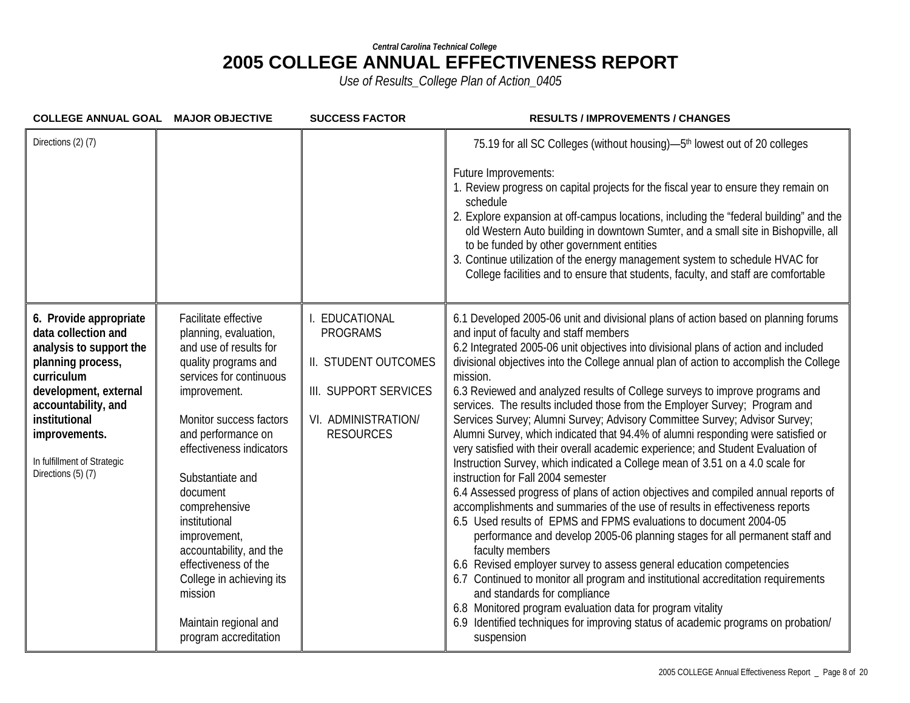| COLLEGE ANNUAL GOAL MAJOR OBJECTIVE                                                                                                                                                                                                                |                                                                                                                                                                                                                                                                                                                                                                                                                                                       | <b>SUCCESS FACTOR</b>                                                                                                      | <b>RESULTS / IMPROVEMENTS / CHANGES</b>                                                                                                                                                                                                                                                                                                                                                                                                                                                                                                                                                                                                                                                                                                                                                                                                                                                                                                                                                                                                                                                                                                                                                                                                                                                                                                                                                                                                                                                                                                                                         |
|----------------------------------------------------------------------------------------------------------------------------------------------------------------------------------------------------------------------------------------------------|-------------------------------------------------------------------------------------------------------------------------------------------------------------------------------------------------------------------------------------------------------------------------------------------------------------------------------------------------------------------------------------------------------------------------------------------------------|----------------------------------------------------------------------------------------------------------------------------|---------------------------------------------------------------------------------------------------------------------------------------------------------------------------------------------------------------------------------------------------------------------------------------------------------------------------------------------------------------------------------------------------------------------------------------------------------------------------------------------------------------------------------------------------------------------------------------------------------------------------------------------------------------------------------------------------------------------------------------------------------------------------------------------------------------------------------------------------------------------------------------------------------------------------------------------------------------------------------------------------------------------------------------------------------------------------------------------------------------------------------------------------------------------------------------------------------------------------------------------------------------------------------------------------------------------------------------------------------------------------------------------------------------------------------------------------------------------------------------------------------------------------------------------------------------------------------|
| Directions (2) (7)                                                                                                                                                                                                                                 |                                                                                                                                                                                                                                                                                                                                                                                                                                                       |                                                                                                                            | 75.19 for all SC Colleges (without housing)—5 <sup>th</sup> lowest out of 20 colleges<br>Future Improvements:<br>1. Review progress on capital projects for the fiscal year to ensure they remain on<br>schedule<br>2. Explore expansion at off-campus locations, including the "federal building" and the<br>old Western Auto building in downtown Sumter, and a small site in Bishopville, all<br>to be funded by other government entities<br>3. Continue utilization of the energy management system to schedule HVAC for<br>College facilities and to ensure that students, faculty, and staff are comfortable                                                                                                                                                                                                                                                                                                                                                                                                                                                                                                                                                                                                                                                                                                                                                                                                                                                                                                                                                             |
| 6. Provide appropriate<br>data collection and<br>analysis to support the<br>planning process,<br>curriculum<br>development, external<br>accountability, and<br>institutional<br>improvements.<br>In fulfillment of Strategic<br>Directions (5) (7) | Facilitate effective<br>planning, evaluation,<br>and use of results for<br>quality programs and<br>services for continuous<br>improvement.<br>Monitor success factors<br>and performance on<br>effectiveness indicators<br>Substantiate and<br>document<br>comprehensive<br>institutional<br>improvement,<br>accountability, and the<br>effectiveness of the<br>College in achieving its<br>mission<br>Maintain regional and<br>program accreditation | EDUCATIONAL<br><b>PROGRAMS</b><br>II. STUDENT OUTCOMES<br>III. SUPPORT SERVICES<br>VI. ADMINISTRATION/<br><b>RESOURCES</b> | 6.1 Developed 2005-06 unit and divisional plans of action based on planning forums<br>and input of faculty and staff members<br>6.2 Integrated 2005-06 unit objectives into divisional plans of action and included<br>divisional objectives into the College annual plan of action to accomplish the College<br>mission.<br>6.3 Reviewed and analyzed results of College surveys to improve programs and<br>services. The results included those from the Employer Survey; Program and<br>Services Survey; Alumni Survey; Advisory Committee Survey; Advisor Survey;<br>Alumni Survey, which indicated that 94.4% of alumni responding were satisfied or<br>very satisfied with their overall academic experience; and Student Evaluation of<br>Instruction Survey, which indicated a College mean of 3.51 on a 4.0 scale for<br>instruction for Fall 2004 semester<br>6.4 Assessed progress of plans of action objectives and compiled annual reports of<br>accomplishments and summaries of the use of results in effectiveness reports<br>6.5 Used results of EPMS and FPMS evaluations to document 2004-05<br>performance and develop 2005-06 planning stages for all permanent staff and<br>faculty members<br>6.6 Revised employer survey to assess general education competencies<br>6.7 Continued to monitor all program and institutional accreditation requirements<br>and standards for compliance<br>6.8 Monitored program evaluation data for program vitality<br>6.9 Identified techniques for improving status of academic programs on probation/<br>suspension |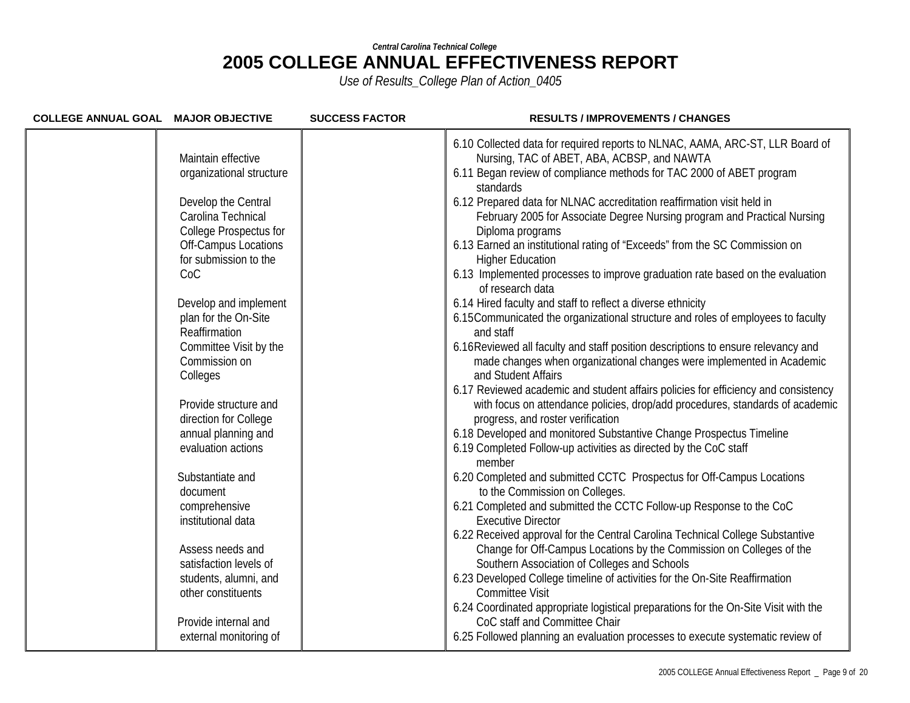| 6.10 Collected data for required reports to NLNAC, AAMA, ARC-ST, LLR Board of<br>Nursing, TAC of ABET, ABA, ACBSP, and NAWTA                                                                                                                                                                                                                                                                                                                                                                                                                                                                                                                                                                                                                                                                                                                                                                                                                                                                                                                                                                                                                                                                                                                                                                                                                                                                                                                                                                    |
|-------------------------------------------------------------------------------------------------------------------------------------------------------------------------------------------------------------------------------------------------------------------------------------------------------------------------------------------------------------------------------------------------------------------------------------------------------------------------------------------------------------------------------------------------------------------------------------------------------------------------------------------------------------------------------------------------------------------------------------------------------------------------------------------------------------------------------------------------------------------------------------------------------------------------------------------------------------------------------------------------------------------------------------------------------------------------------------------------------------------------------------------------------------------------------------------------------------------------------------------------------------------------------------------------------------------------------------------------------------------------------------------------------------------------------------------------------------------------------------------------|
| 6.11 Began review of compliance methods for TAC 2000 of ABET program<br>standards<br>6.12 Prepared data for NLNAC accreditation reaffirmation visit held in<br>February 2005 for Associate Degree Nursing program and Practical Nursing<br>Diploma programs<br>6.13 Earned an institutional rating of "Exceeds" from the SC Commission on<br><b>Higher Education</b><br>6.13 Implemented processes to improve graduation rate based on the evaluation<br>of research data<br>6.14 Hired faculty and staff to reflect a diverse ethnicity<br>6.15 Communicated the organizational structure and roles of employees to faculty<br>and staff<br>6.16 Reviewed all faculty and staff position descriptions to ensure relevancy and<br>made changes when organizational changes were implemented in Academic<br>and Student Affairs<br>6.17 Reviewed academic and student affairs policies for efficiency and consistency<br>with focus on attendance policies, drop/add procedures, standards of academic<br>progress, and roster verification<br>6.18 Developed and monitored Substantive Change Prospectus Timeline<br>6.19 Completed Follow-up activities as directed by the CoC staff<br>member<br>6.20 Completed and submitted CCTC Prospectus for Off-Campus Locations<br>to the Commission on Colleges.<br>6.21 Completed and submitted the CCTC Follow-up Response to the CoC<br><b>Executive Director</b><br>6.22 Received approval for the Central Carolina Technical College Substantive |
| Change for Off-Campus Locations by the Commission on Colleges of the<br>Southern Association of Colleges and Schools<br>6.23 Developed College timeline of activities for the On-Site Reaffirmation<br><b>Committee Visit</b><br>6.24 Coordinated appropriate logistical preparations for the On-Site Visit with the<br>CoC staff and Committee Chair<br>6.25 Followed planning an evaluation processes to execute systematic review of                                                                                                                                                                                                                                                                                                                                                                                                                                                                                                                                                                                                                                                                                                                                                                                                                                                                                                                                                                                                                                                         |
|                                                                                                                                                                                                                                                                                                                                                                                                                                                                                                                                                                                                                                                                                                                                                                                                                                                                                                                                                                                                                                                                                                                                                                                                                                                                                                                                                                                                                                                                                                 |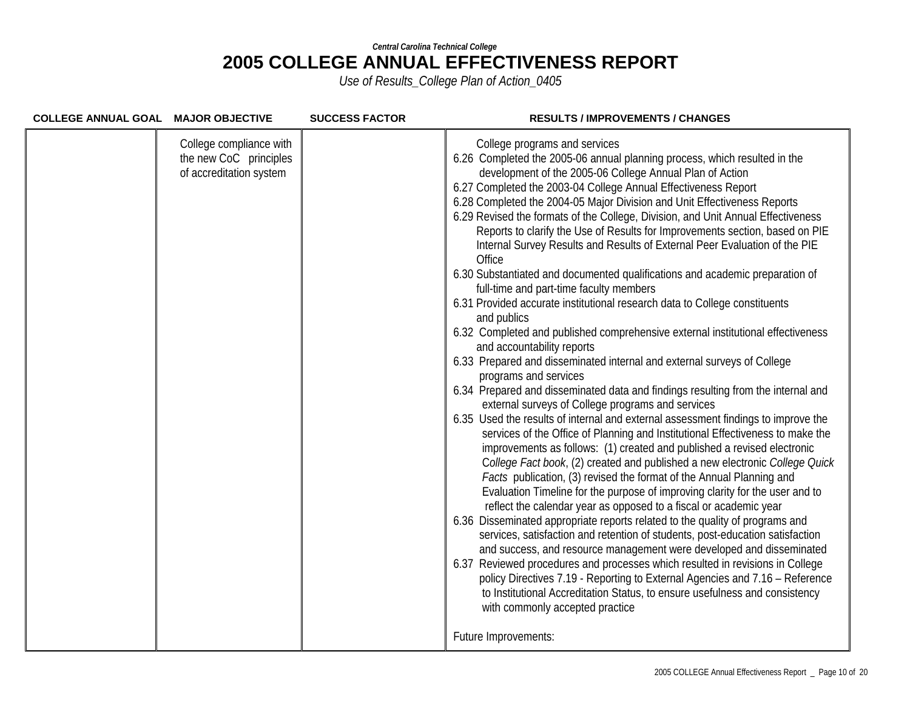| COLLEGE ANNUAL GOAL MAJOR OBJECTIVE |                                                                              | <b>SUCCESS FACTOR</b> | <b>RESULTS / IMPROVEMENTS / CHANGES</b>                                                                                                                                                                                                                                                                                                                                                                                                                                                                                                                                                                                                                                                                                                                                                                                                                                                                                                                                                                                                                                                                                                                                                                                                                                                                                                                                                                                                                                                                                                                                                                                                                                                                                                                                                                                                                                                                                                                                                                                                                                                                                                                                                                                                                                                  |
|-------------------------------------|------------------------------------------------------------------------------|-----------------------|------------------------------------------------------------------------------------------------------------------------------------------------------------------------------------------------------------------------------------------------------------------------------------------------------------------------------------------------------------------------------------------------------------------------------------------------------------------------------------------------------------------------------------------------------------------------------------------------------------------------------------------------------------------------------------------------------------------------------------------------------------------------------------------------------------------------------------------------------------------------------------------------------------------------------------------------------------------------------------------------------------------------------------------------------------------------------------------------------------------------------------------------------------------------------------------------------------------------------------------------------------------------------------------------------------------------------------------------------------------------------------------------------------------------------------------------------------------------------------------------------------------------------------------------------------------------------------------------------------------------------------------------------------------------------------------------------------------------------------------------------------------------------------------------------------------------------------------------------------------------------------------------------------------------------------------------------------------------------------------------------------------------------------------------------------------------------------------------------------------------------------------------------------------------------------------------------------------------------------------------------------------------------------------|
|                                     | College compliance with<br>the new CoC principles<br>of accreditation system |                       | College programs and services<br>6.26 Completed the 2005-06 annual planning process, which resulted in the<br>development of the 2005-06 College Annual Plan of Action<br>6.27 Completed the 2003-04 College Annual Effectiveness Report<br>6.28 Completed the 2004-05 Major Division and Unit Effectiveness Reports<br>6.29 Revised the formats of the College, Division, and Unit Annual Effectiveness<br>Reports to clarify the Use of Results for Improvements section, based on PIE<br>Internal Survey Results and Results of External Peer Evaluation of the PIE<br>Office<br>6.30 Substantiated and documented qualifications and academic preparation of<br>full-time and part-time faculty members<br>6.31 Provided accurate institutional research data to College constituents<br>and publics<br>6.32 Completed and published comprehensive external institutional effectiveness<br>and accountability reports<br>6.33 Prepared and disseminated internal and external surveys of College<br>programs and services<br>6.34 Prepared and disseminated data and findings resulting from the internal and<br>external surveys of College programs and services<br>6.35 Used the results of internal and external assessment findings to improve the<br>services of the Office of Planning and Institutional Effectiveness to make the<br>improvements as follows: (1) created and published a revised electronic<br>College Fact book, (2) created and published a new electronic College Quick<br>Facts publication, (3) revised the format of the Annual Planning and<br>Evaluation Timeline for the purpose of improving clarity for the user and to<br>reflect the calendar year as opposed to a fiscal or academic year<br>6.36 Disseminated appropriate reports related to the quality of programs and<br>services, satisfaction and retention of students, post-education satisfaction<br>and success, and resource management were developed and disseminated<br>6.37 Reviewed procedures and processes which resulted in revisions in College<br>policy Directives 7.19 - Reporting to External Agencies and 7.16 - Reference<br>to Institutional Accreditation Status, to ensure usefulness and consistency<br>with commonly accepted practice<br>Future Improvements: |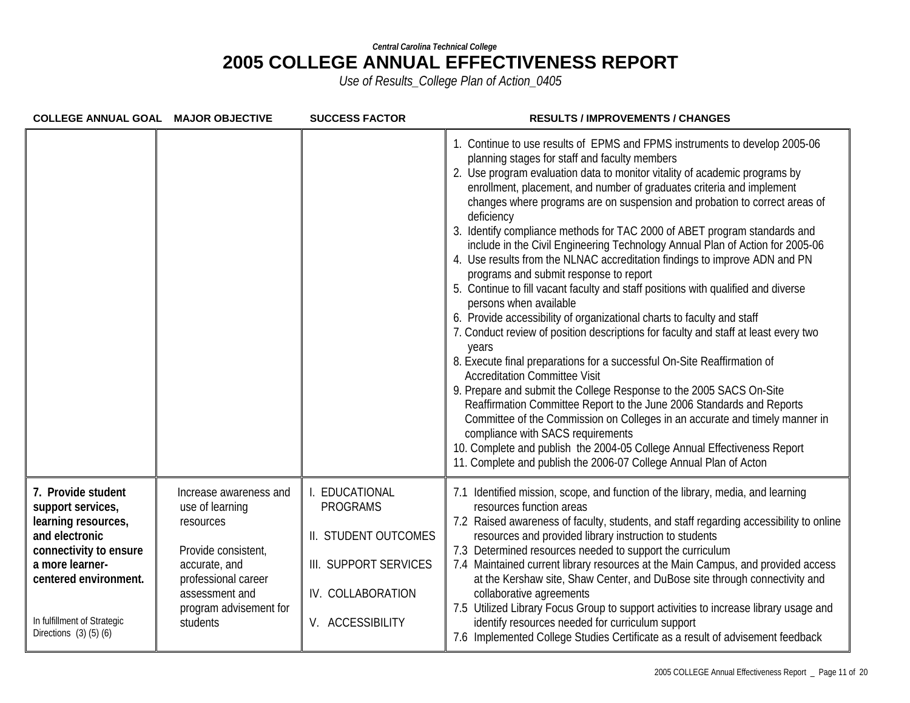| COLLEGE ANNUAL GOAL MAJOR OBJECTIVE                                                                                                                                                                                   |                                                                                                                                                                               | <b>SUCCESS FACTOR</b>                                                                                                    | <b>RESULTS / IMPROVEMENTS / CHANGES</b>                                                                                                                                                                                                                                                                                                                                                                                                                                                                                                                                                                                                                                                                                                                                                                                                                                                                                                                                                                                                                                                                                                                                                                                                                                                                                                                                                                                                                                                               |
|-----------------------------------------------------------------------------------------------------------------------------------------------------------------------------------------------------------------------|-------------------------------------------------------------------------------------------------------------------------------------------------------------------------------|--------------------------------------------------------------------------------------------------------------------------|-------------------------------------------------------------------------------------------------------------------------------------------------------------------------------------------------------------------------------------------------------------------------------------------------------------------------------------------------------------------------------------------------------------------------------------------------------------------------------------------------------------------------------------------------------------------------------------------------------------------------------------------------------------------------------------------------------------------------------------------------------------------------------------------------------------------------------------------------------------------------------------------------------------------------------------------------------------------------------------------------------------------------------------------------------------------------------------------------------------------------------------------------------------------------------------------------------------------------------------------------------------------------------------------------------------------------------------------------------------------------------------------------------------------------------------------------------------------------------------------------------|
|                                                                                                                                                                                                                       |                                                                                                                                                                               |                                                                                                                          | 1. Continue to use results of EPMS and FPMS instruments to develop 2005-06<br>planning stages for staff and faculty members<br>2. Use program evaluation data to monitor vitality of academic programs by<br>enrollment, placement, and number of graduates criteria and implement<br>changes where programs are on suspension and probation to correct areas of<br>deficiency<br>3. Identify compliance methods for TAC 2000 of ABET program standards and<br>include in the Civil Engineering Technology Annual Plan of Action for 2005-06<br>4. Use results from the NLNAC accreditation findings to improve ADN and PN<br>programs and submit response to report<br>5. Continue to fill vacant faculty and staff positions with qualified and diverse<br>persons when available<br>6. Provide accessibility of organizational charts to faculty and staff<br>7. Conduct review of position descriptions for faculty and staff at least every two<br>years<br>8. Execute final preparations for a successful On-Site Reaffirmation of<br><b>Accreditation Committee Visit</b><br>9. Prepare and submit the College Response to the 2005 SACS On-Site<br>Reaffirmation Committee Report to the June 2006 Standards and Reports<br>Committee of the Commission on Colleges in an accurate and timely manner in<br>compliance with SACS requirements<br>10. Complete and publish the 2004-05 College Annual Effectiveness Report<br>11. Complete and publish the 2006-07 College Annual Plan of Acton |
| 7. Provide student<br>support services,<br>learning resources,<br>and electronic<br>connectivity to ensure<br>a more learner-<br>centered environment.<br>In fulfillment of Strategic<br>Directions $(3)$ $(5)$ $(6)$ | Increase awareness and<br>use of learning<br>resources<br>Provide consistent,<br>accurate, and<br>professional career<br>assessment and<br>program advisement for<br>students | EDUCATIONAL<br><b>PROGRAMS</b><br>II. STUDENT OUTCOMES<br>III. SUPPORT SERVICES<br>IV. COLLABORATION<br>V. ACCESSIBILITY | 7.1 Identified mission, scope, and function of the library, media, and learning<br>resources function areas<br>7.2 Raised awareness of faculty, students, and staff regarding accessibility to online<br>resources and provided library instruction to students<br>7.3 Determined resources needed to support the curriculum<br>7.4 Maintained current library resources at the Main Campus, and provided access<br>at the Kershaw site, Shaw Center, and DuBose site through connectivity and<br>collaborative agreements<br>7.5 Utilized Library Focus Group to support activities to increase library usage and<br>identify resources needed for curriculum support<br>7.6 Implemented College Studies Certificate as a result of advisement feedback                                                                                                                                                                                                                                                                                                                                                                                                                                                                                                                                                                                                                                                                                                                                              |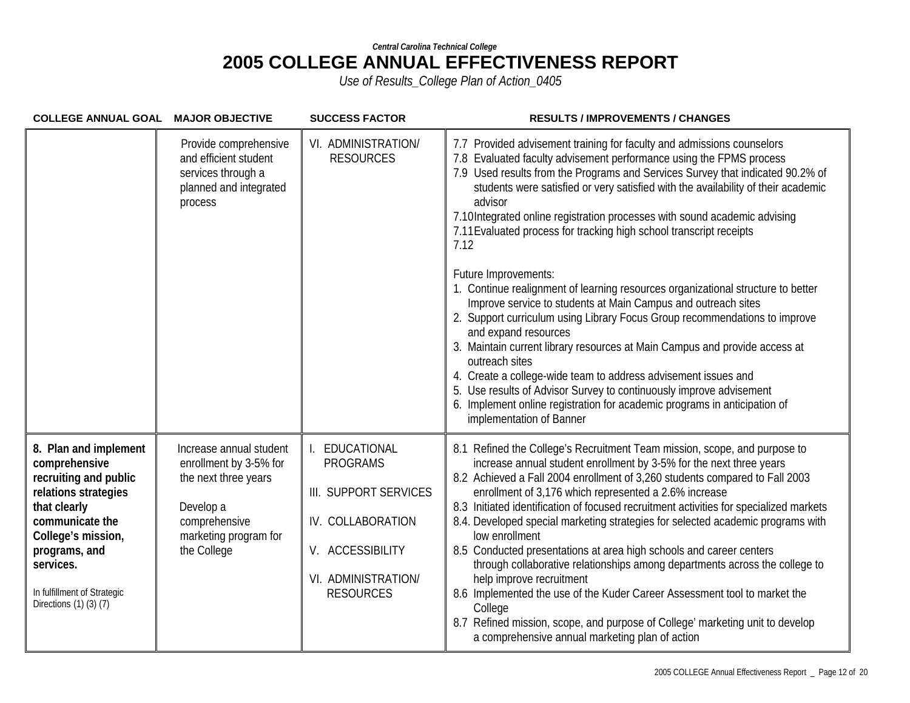| COLLEGE ANNUAL GOAL MAJOR OBJECTIVE                                                                                                                                                                                                           |                                                                                                                                                 | <b>SUCCESS FACTOR</b>                                                                                                                          | <b>RESULTS / IMPROVEMENTS / CHANGES</b>                                                                                                                                                                                                                                                                                                                                                                                                                                                                                                                                                                                                                                                                                                                                                                                                                                                                                                                                                                                                                                                              |
|-----------------------------------------------------------------------------------------------------------------------------------------------------------------------------------------------------------------------------------------------|-------------------------------------------------------------------------------------------------------------------------------------------------|------------------------------------------------------------------------------------------------------------------------------------------------|------------------------------------------------------------------------------------------------------------------------------------------------------------------------------------------------------------------------------------------------------------------------------------------------------------------------------------------------------------------------------------------------------------------------------------------------------------------------------------------------------------------------------------------------------------------------------------------------------------------------------------------------------------------------------------------------------------------------------------------------------------------------------------------------------------------------------------------------------------------------------------------------------------------------------------------------------------------------------------------------------------------------------------------------------------------------------------------------------|
|                                                                                                                                                                                                                                               | Provide comprehensive<br>and efficient student<br>services through a<br>planned and integrated<br>process                                       | VI. ADMINISTRATION/<br><b>RESOURCES</b>                                                                                                        | 7.7 Provided advisement training for faculty and admissions counselors<br>7.8 Evaluated faculty advisement performance using the FPMS process<br>7.9 Used results from the Programs and Services Survey that indicated 90.2% of<br>students were satisfied or very satisfied with the availability of their academic<br>advisor<br>7.10Integrated online registration processes with sound academic advising<br>7.11 Evaluated process for tracking high school transcript receipts<br>7.12<br>Future Improvements:<br>1. Continue realignment of learning resources organizational structure to better<br>Improve service to students at Main Campus and outreach sites<br>2. Support curriculum using Library Focus Group recommendations to improve<br>and expand resources<br>3. Maintain current library resources at Main Campus and provide access at<br>outreach sites<br>4. Create a college-wide team to address advisement issues and<br>5. Use results of Advisor Survey to continuously improve advisement<br>6. Implement online registration for academic programs in anticipation of |
| 8. Plan and implement<br>comprehensive<br>recruiting and public<br>relations strategies<br>that clearly<br>communicate the<br>College's mission,<br>programs, and<br>services.<br>In fulfillment of Strategic<br>Directions $(1)$ $(3)$ $(7)$ | Increase annual student<br>enrollment by 3-5% for<br>the next three years<br>Develop a<br>comprehensive<br>marketing program for<br>the College | I. EDUCATIONAL<br><b>PROGRAMS</b><br>III. SUPPORT SERVICES<br>IV. COLLABORATION<br>V. ACCESSIBILITY<br>VI. ADMINISTRATION/<br><b>RESOURCES</b> | implementation of Banner<br>8.1 Refined the College's Recruitment Team mission, scope, and purpose to<br>increase annual student enrollment by 3-5% for the next three years<br>8.2 Achieved a Fall 2004 enrollment of 3,260 students compared to Fall 2003<br>enrollment of 3,176 which represented a 2.6% increase<br>8.3 Initiated identification of focused recruitment activities for specialized markets<br>8.4. Developed special marketing strategies for selected academic programs with<br>low enrollment<br>8.5 Conducted presentations at area high schools and career centers<br>through collaborative relationships among departments across the college to<br>help improve recruitment<br>8.6 Implemented the use of the Kuder Career Assessment tool to market the<br>College                                                                                                                                                                                                                                                                                                        |
|                                                                                                                                                                                                                                               |                                                                                                                                                 |                                                                                                                                                | 8.7 Refined mission, scope, and purpose of College' marketing unit to develop<br>a comprehensive annual marketing plan of action                                                                                                                                                                                                                                                                                                                                                                                                                                                                                                                                                                                                                                                                                                                                                                                                                                                                                                                                                                     |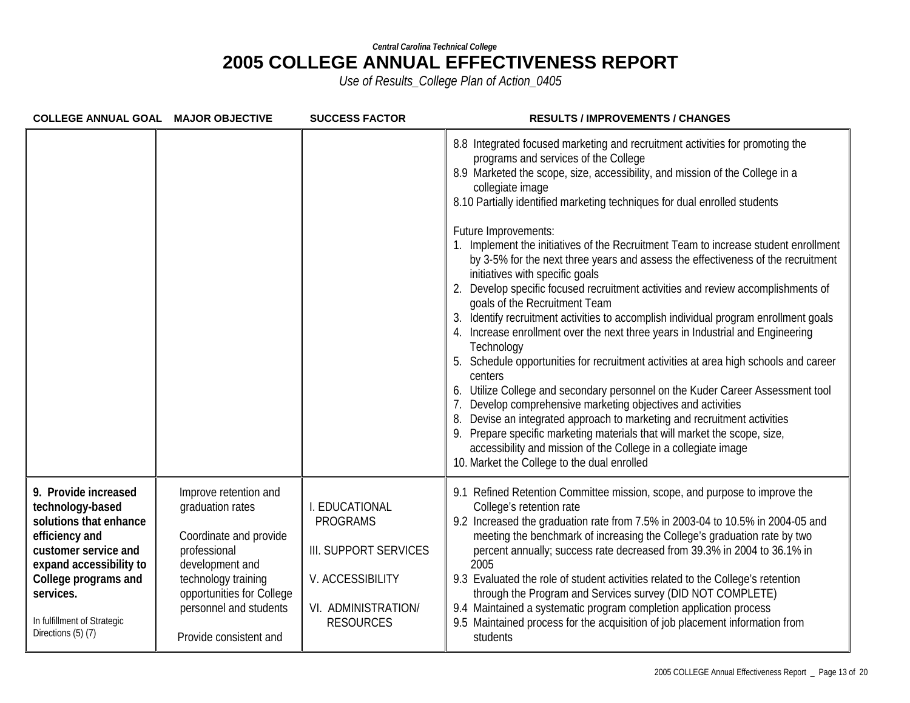| COLLEGE ANNUAL GOAL MAJOR OBJECTIVE                                                                                                                                                                                               |                                                                                                                                                                                                                | <b>SUCCESS FACTOR</b>                                                                                                     | <b>RESULTS / IMPROVEMENTS / CHANGES</b>                                                                                                                                                                                                                                                                                                                                                                                                                                                                                                                                                                                                                                                                                                                                                                                                                                                                                                                                                                                                                                                                                                                                                                                                                                                                                                                                         |
|-----------------------------------------------------------------------------------------------------------------------------------------------------------------------------------------------------------------------------------|----------------------------------------------------------------------------------------------------------------------------------------------------------------------------------------------------------------|---------------------------------------------------------------------------------------------------------------------------|---------------------------------------------------------------------------------------------------------------------------------------------------------------------------------------------------------------------------------------------------------------------------------------------------------------------------------------------------------------------------------------------------------------------------------------------------------------------------------------------------------------------------------------------------------------------------------------------------------------------------------------------------------------------------------------------------------------------------------------------------------------------------------------------------------------------------------------------------------------------------------------------------------------------------------------------------------------------------------------------------------------------------------------------------------------------------------------------------------------------------------------------------------------------------------------------------------------------------------------------------------------------------------------------------------------------------------------------------------------------------------|
|                                                                                                                                                                                                                                   |                                                                                                                                                                                                                |                                                                                                                           | 8.8 Integrated focused marketing and recruitment activities for promoting the<br>programs and services of the College<br>8.9 Marketed the scope, size, accessibility, and mission of the College in a<br>collegiate image<br>8.10 Partially identified marketing techniques for dual enrolled students<br>Future Improvements:<br>1. Implement the initiatives of the Recruitment Team to increase student enrollment<br>by 3-5% for the next three years and assess the effectiveness of the recruitment<br>initiatives with specific goals<br>2. Develop specific focused recruitment activities and review accomplishments of<br>goals of the Recruitment Team<br>Identify recruitment activities to accomplish individual program enrollment goals<br>4. Increase enrollment over the next three years in Industrial and Engineering<br>Technology<br>Schedule opportunities for recruitment activities at area high schools and career<br>centers<br>Utilize College and secondary personnel on the Kuder Career Assessment tool<br>6.<br>Develop comprehensive marketing objectives and activities<br>Devise an integrated approach to marketing and recruitment activities<br>9. Prepare specific marketing materials that will market the scope, size,<br>accessibility and mission of the College in a collegiate image<br>10. Market the College to the dual enrolled |
| 9. Provide increased<br>technology-based<br>solutions that enhance<br>efficiency and<br>customer service and<br>expand accessibility to<br>College programs and<br>services.<br>In fulfillment of Strategic<br>Directions (5) (7) | Improve retention and<br>graduation rates<br>Coordinate and provide<br>professional<br>development and<br>technology training<br>opportunities for College<br>personnel and students<br>Provide consistent and | I. EDUCATIONAL<br><b>PROGRAMS</b><br>III. SUPPORT SERVICES<br>V. ACCESSIBILITY<br>VI. ADMINISTRATION/<br><b>RESOURCES</b> | 9.1 Refined Retention Committee mission, scope, and purpose to improve the<br>College's retention rate<br>9.2 Increased the graduation rate from 7.5% in 2003-04 to 10.5% in 2004-05 and<br>meeting the benchmark of increasing the College's graduation rate by two<br>percent annually; success rate decreased from 39.3% in 2004 to 36.1% in<br>2005<br>9.3 Evaluated the role of student activities related to the College's retention<br>through the Program and Services survey (DID NOT COMPLETE)<br>9.4 Maintained a systematic program completion application process<br>9.5 Maintained process for the acquisition of job placement information from<br>students                                                                                                                                                                                                                                                                                                                                                                                                                                                                                                                                                                                                                                                                                                      |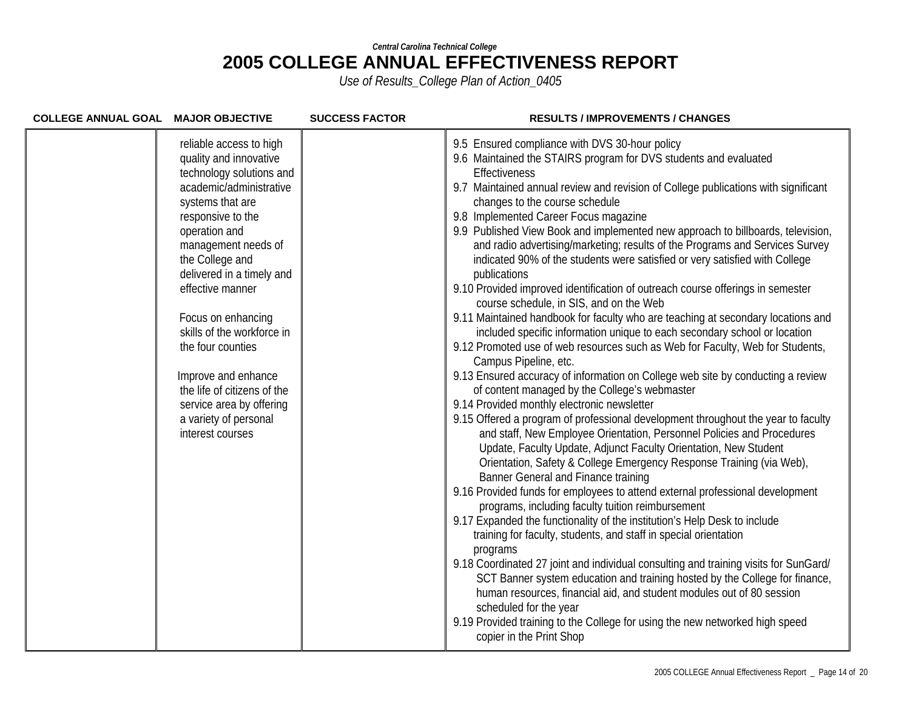| COLLEGE ANNUAL GOAL MAJOR OBJECTIVE |                                                                                                                                                                                                                                                                                                                                                                                                                                                                       | <b>SUCCESS FACTOR</b> | <b>RESULTS / IMPROVEMENTS / CHANGES</b>                                                                                                                                                                                                                                                                                                                                                                                                                                                                                                                                                                                                                                                                                                                                                                                                                                                                                                                                                                                                                                                                                                                                                                                                                                                                                                                                                                                                                                                                                                                                                                                                                                                                                                                                                                                                                                                                                                                                                                                                                                                                                                                                                                      |
|-------------------------------------|-----------------------------------------------------------------------------------------------------------------------------------------------------------------------------------------------------------------------------------------------------------------------------------------------------------------------------------------------------------------------------------------------------------------------------------------------------------------------|-----------------------|--------------------------------------------------------------------------------------------------------------------------------------------------------------------------------------------------------------------------------------------------------------------------------------------------------------------------------------------------------------------------------------------------------------------------------------------------------------------------------------------------------------------------------------------------------------------------------------------------------------------------------------------------------------------------------------------------------------------------------------------------------------------------------------------------------------------------------------------------------------------------------------------------------------------------------------------------------------------------------------------------------------------------------------------------------------------------------------------------------------------------------------------------------------------------------------------------------------------------------------------------------------------------------------------------------------------------------------------------------------------------------------------------------------------------------------------------------------------------------------------------------------------------------------------------------------------------------------------------------------------------------------------------------------------------------------------------------------------------------------------------------------------------------------------------------------------------------------------------------------------------------------------------------------------------------------------------------------------------------------------------------------------------------------------------------------------------------------------------------------------------------------------------------------------------------------------------------------|
|                                     | reliable access to high<br>quality and innovative<br>technology solutions and<br>academic/administrative<br>systems that are<br>responsive to the<br>operation and<br>management needs of<br>the College and<br>delivered in a timely and<br>effective manner<br>Focus on enhancing<br>skills of the workforce in<br>the four counties<br>Improve and enhance<br>the life of citizens of the<br>service area by offering<br>a variety of personal<br>interest courses |                       | 9.5 Ensured compliance with DVS 30-hour policy<br>9.6 Maintained the STAIRS program for DVS students and evaluated<br>Effectiveness<br>9.7 Maintained annual review and revision of College publications with significant<br>changes to the course schedule<br>9.8 Implemented Career Focus magazine<br>9.9 Published View Book and implemented new approach to billboards, television,<br>and radio advertising/marketing; results of the Programs and Services Survey<br>indicated 90% of the students were satisfied or very satisfied with College<br>publications<br>9.10 Provided improved identification of outreach course offerings in semester<br>course schedule, in SIS, and on the Web<br>9.11 Maintained handbook for faculty who are teaching at secondary locations and<br>included specific information unique to each secondary school or location<br>9.12 Promoted use of web resources such as Web for Faculty, Web for Students,<br>Campus Pipeline, etc.<br>9.13 Ensured accuracy of information on College web site by conducting a review<br>of content managed by the College's webmaster<br>9.14 Provided monthly electronic newsletter<br>9.15 Offered a program of professional development throughout the year to faculty<br>and staff, New Employee Orientation, Personnel Policies and Procedures<br>Update, Faculty Update, Adjunct Faculty Orientation, New Student<br>Orientation, Safety & College Emergency Response Training (via Web),<br>Banner General and Finance training<br>9.16 Provided funds for employees to attend external professional development<br>programs, including faculty tuition reimbursement<br>9.17 Expanded the functionality of the institution's Help Desk to include<br>training for faculty, students, and staff in special orientation<br>programs<br>9.18 Coordinated 27 joint and individual consulting and training visits for SunGard/<br>SCT Banner system education and training hosted by the College for finance,<br>human resources, financial aid, and student modules out of 80 session<br>scheduled for the year<br>9.19 Provided training to the College for using the new networked high speed<br>copier in the Print Shop |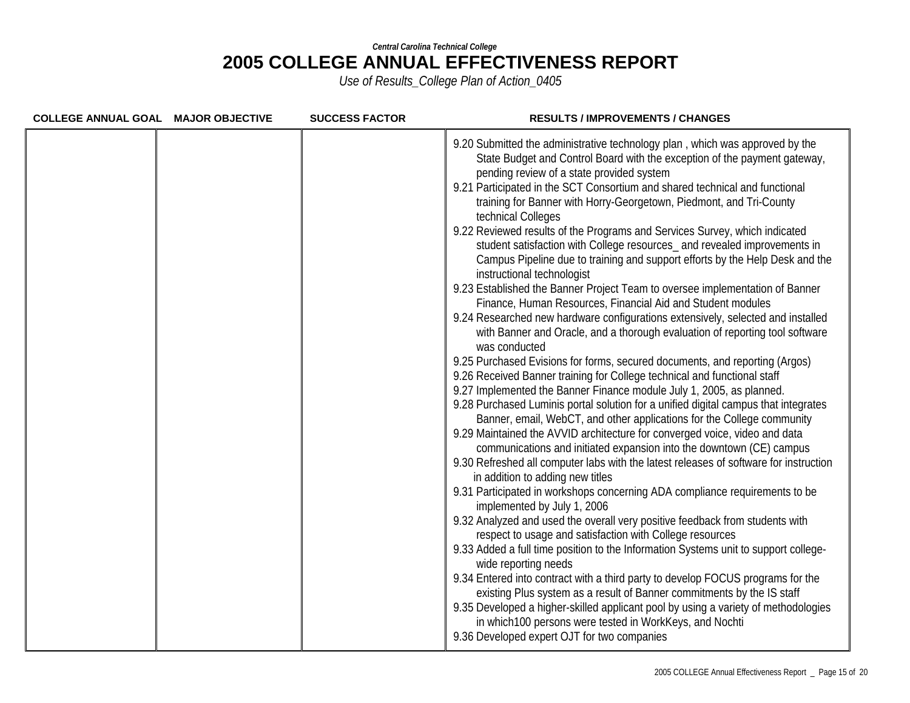| COLLEGE ANNUAL GOAL MAJOR OBJECTIVE | <b>SUCCESS FACTOR</b> | <b>RESULTS / IMPROVEMENTS / CHANGES</b>                                                                                                                                                                                                                                                                                                                                                                                                                                                                                                                                                                                                                                                                                                                                                                                                                                                                                                                                                                                                                                                                                                                                                                                                                                                                                                                                                                                                                                                                                                                                                                                                                                                                                                                                                                                                                                                                                                                                                                                                                                                                                                                                                                                                                                                                                                                                                                                      |
|-------------------------------------|-----------------------|------------------------------------------------------------------------------------------------------------------------------------------------------------------------------------------------------------------------------------------------------------------------------------------------------------------------------------------------------------------------------------------------------------------------------------------------------------------------------------------------------------------------------------------------------------------------------------------------------------------------------------------------------------------------------------------------------------------------------------------------------------------------------------------------------------------------------------------------------------------------------------------------------------------------------------------------------------------------------------------------------------------------------------------------------------------------------------------------------------------------------------------------------------------------------------------------------------------------------------------------------------------------------------------------------------------------------------------------------------------------------------------------------------------------------------------------------------------------------------------------------------------------------------------------------------------------------------------------------------------------------------------------------------------------------------------------------------------------------------------------------------------------------------------------------------------------------------------------------------------------------------------------------------------------------------------------------------------------------------------------------------------------------------------------------------------------------------------------------------------------------------------------------------------------------------------------------------------------------------------------------------------------------------------------------------------------------------------------------------------------------------------------------------------------------|
|                                     |                       | 9.20 Submitted the administrative technology plan, which was approved by the<br>State Budget and Control Board with the exception of the payment gateway,<br>pending review of a state provided system<br>9.21 Participated in the SCT Consortium and shared technical and functional<br>training for Banner with Horry-Georgetown, Piedmont, and Tri-County<br>technical Colleges<br>9.22 Reviewed results of the Programs and Services Survey, which indicated<br>student satisfaction with College resources_ and revealed improvements in<br>Campus Pipeline due to training and support efforts by the Help Desk and the<br>instructional technologist<br>9.23 Established the Banner Project Team to oversee implementation of Banner<br>Finance, Human Resources, Financial Aid and Student modules<br>9.24 Researched new hardware configurations extensively, selected and installed<br>with Banner and Oracle, and a thorough evaluation of reporting tool software<br>was conducted<br>9.25 Purchased Evisions for forms, secured documents, and reporting (Argos)<br>9.26 Received Banner training for College technical and functional staff<br>9.27 Implemented the Banner Finance module July 1, 2005, as planned.<br>9.28 Purchased Luminis portal solution for a unified digital campus that integrates<br>Banner, email, WebCT, and other applications for the College community<br>9.29 Maintained the AVVID architecture for converged voice, video and data<br>communications and initiated expansion into the downtown (CE) campus<br>9.30 Refreshed all computer labs with the latest releases of software for instruction<br>in addition to adding new titles<br>9.31 Participated in workshops concerning ADA compliance requirements to be<br>implemented by July 1, 2006<br>9.32 Analyzed and used the overall very positive feedback from students with<br>respect to usage and satisfaction with College resources<br>9.33 Added a full time position to the Information Systems unit to support college-<br>wide reporting needs<br>9.34 Entered into contract with a third party to develop FOCUS programs for the<br>existing Plus system as a result of Banner commitments by the IS staff<br>9.35 Developed a higher-skilled applicant pool by using a variety of methodologies<br>in which 100 persons were tested in WorkKeys, and Nochti<br>9.36 Developed expert OJT for two companies |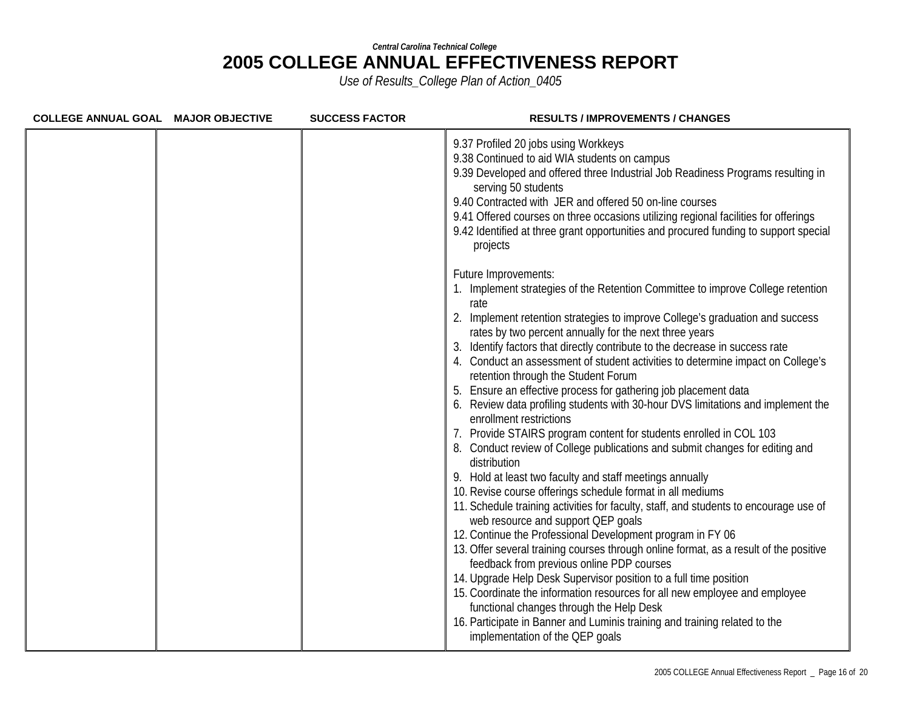| COLLEGE ANNUAL GOAL MAJOR OBJECTIVE | <b>SUCCESS FACTOR</b> | <b>RESULTS / IMPROVEMENTS / CHANGES</b>                                                                                                                                                                                                                                                                                                                                                                                                                                                                                                                                                                                                                                                                                                                                                                                                                                                                                                                                                                                                                                                                                                                                                                                                                                                                                                                                                                                                                                                                                                                                                                   |
|-------------------------------------|-----------------------|-----------------------------------------------------------------------------------------------------------------------------------------------------------------------------------------------------------------------------------------------------------------------------------------------------------------------------------------------------------------------------------------------------------------------------------------------------------------------------------------------------------------------------------------------------------------------------------------------------------------------------------------------------------------------------------------------------------------------------------------------------------------------------------------------------------------------------------------------------------------------------------------------------------------------------------------------------------------------------------------------------------------------------------------------------------------------------------------------------------------------------------------------------------------------------------------------------------------------------------------------------------------------------------------------------------------------------------------------------------------------------------------------------------------------------------------------------------------------------------------------------------------------------------------------------------------------------------------------------------|
|                                     |                       | 9.37 Profiled 20 jobs using Workkeys<br>9.38 Continued to aid WIA students on campus<br>9.39 Developed and offered three Industrial Job Readiness Programs resulting in<br>serving 50 students<br>9.40 Contracted with JER and offered 50 on-line courses<br>9.41 Offered courses on three occasions utilizing regional facilities for offerings<br>9.42 Identified at three grant opportunities and procured funding to support special<br>projects                                                                                                                                                                                                                                                                                                                                                                                                                                                                                                                                                                                                                                                                                                                                                                                                                                                                                                                                                                                                                                                                                                                                                      |
|                                     |                       | Future Improvements:<br>1. Implement strategies of the Retention Committee to improve College retention<br>rate<br>2. Implement retention strategies to improve College's graduation and success<br>rates by two percent annually for the next three years<br>3. Identify factors that directly contribute to the decrease in success rate<br>4. Conduct an assessment of student activities to determine impact on College's<br>retention through the Student Forum<br>5. Ensure an effective process for gathering job placement data<br>6. Review data profiling students with 30-hour DVS limitations and implement the<br>enrollment restrictions<br>7. Provide STAIRS program content for students enrolled in COL 103<br>8. Conduct review of College publications and submit changes for editing and<br>distribution<br>9. Hold at least two faculty and staff meetings annually<br>10. Revise course offerings schedule format in all mediums<br>11. Schedule training activities for faculty, staff, and students to encourage use of<br>web resource and support QEP goals<br>12. Continue the Professional Development program in FY 06<br>13. Offer several training courses through online format, as a result of the positive<br>feedback from previous online PDP courses<br>14. Upgrade Help Desk Supervisor position to a full time position<br>15. Coordinate the information resources for all new employee and employee<br>functional changes through the Help Desk<br>16. Participate in Banner and Luminis training and training related to the<br>implementation of the QEP goals |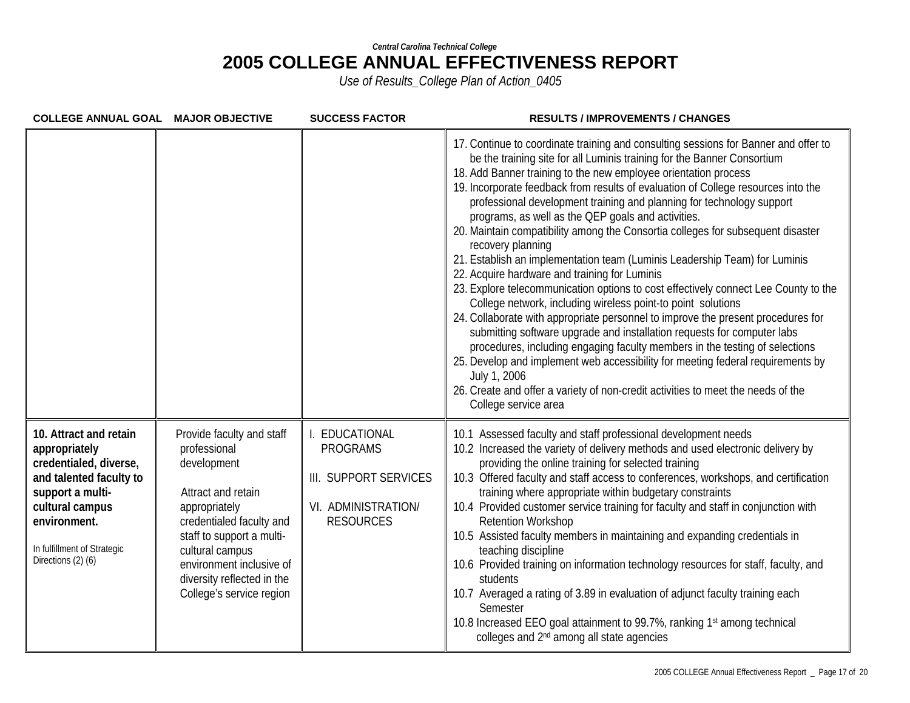| COLLEGE ANNUAL GOAL MAJOR OBJECTIVE                                                                                                                                                                      |                                                                                                                                                                                                                                                                   | <b>SUCCESS FACTOR</b>                                                                              | <b>RESULTS / IMPROVEMENTS / CHANGES</b>                                                                                                                                                                                                                                                                                                                                                                                                                                                                                                                                                                                                                                                                                                                                                                                                                                                                                                                                                                                                                                                                                                                                                                                                                                                                          |
|----------------------------------------------------------------------------------------------------------------------------------------------------------------------------------------------------------|-------------------------------------------------------------------------------------------------------------------------------------------------------------------------------------------------------------------------------------------------------------------|----------------------------------------------------------------------------------------------------|------------------------------------------------------------------------------------------------------------------------------------------------------------------------------------------------------------------------------------------------------------------------------------------------------------------------------------------------------------------------------------------------------------------------------------------------------------------------------------------------------------------------------------------------------------------------------------------------------------------------------------------------------------------------------------------------------------------------------------------------------------------------------------------------------------------------------------------------------------------------------------------------------------------------------------------------------------------------------------------------------------------------------------------------------------------------------------------------------------------------------------------------------------------------------------------------------------------------------------------------------------------------------------------------------------------|
|                                                                                                                                                                                                          |                                                                                                                                                                                                                                                                   |                                                                                                    | 17. Continue to coordinate training and consulting sessions for Banner and offer to<br>be the training site for all Luminis training for the Banner Consortium<br>18. Add Banner training to the new employee orientation process<br>19. Incorporate feedback from results of evaluation of College resources into the<br>professional development training and planning for technology support<br>programs, as well as the QEP goals and activities.<br>20. Maintain compatibility among the Consortia colleges for subsequent disaster<br>recovery planning<br>21. Establish an implementation team (Luminis Leadership Team) for Luminis<br>22. Acquire hardware and training for Luminis<br>23. Explore telecommunication options to cost effectively connect Lee County to the<br>College network, including wireless point-to point solutions<br>24. Collaborate with appropriate personnel to improve the present procedures for<br>submitting software upgrade and installation requests for computer labs<br>procedures, including engaging faculty members in the testing of selections<br>25. Develop and implement web accessibility for meeting federal requirements by<br>July 1, 2006<br>26. Create and offer a variety of non-credit activities to meet the needs of the<br>College service area |
| 10. Attract and retain<br>appropriately<br>credentialed, diverse,<br>and talented faculty to<br>support a multi-<br>cultural campus<br>environment.<br>In fulfillment of Strategic<br>Directions (2) (6) | Provide faculty and staff<br>professional<br>development<br>Attract and retain<br>appropriately<br>credentialed faculty and<br>staff to support a multi-<br>cultural campus<br>environment inclusive of<br>diversity reflected in the<br>College's service region | EDUCATIONAL<br><b>PROGRAMS</b><br>III. SUPPORT SERVICES<br>VI. ADMINISTRATION/<br><b>RESOURCES</b> | 10.1 Assessed faculty and staff professional development needs<br>10.2 Increased the variety of delivery methods and used electronic delivery by<br>providing the online training for selected training<br>10.3 Offered faculty and staff access to conferences, workshops, and certification<br>training where appropriate within budgetary constraints<br>10.4 Provided customer service training for faculty and staff in conjunction with<br><b>Retention Workshop</b><br>10.5 Assisted faculty members in maintaining and expanding credentials in<br>teaching discipline<br>10.6 Provided training on information technology resources for staff, faculty, and<br>students<br>10.7 Averaged a rating of 3.89 in evaluation of adjunct faculty training each<br>Semester<br>10.8 Increased EEO goal attainment to 99.7%, ranking 1st among technical<br>colleges and 2 <sup>nd</sup> among all state agencies                                                                                                                                                                                                                                                                                                                                                                                               |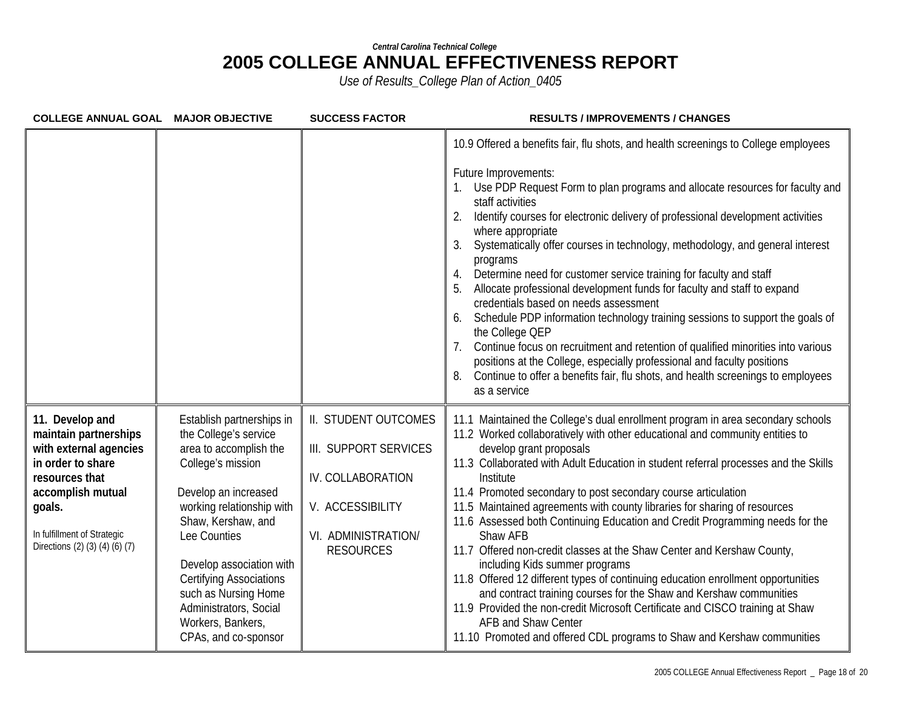| <b>COLLEGE ANNUAL GOAL MAJOR OBJECTIVE</b>                                                                                                                                                                |                                                                                                                                                                                                                                                                                                                                                           | <b>SUCCESS FACTOR</b>                                                                                                             | <b>RESULTS / IMPROVEMENTS / CHANGES</b>                                                                                                                                                                                                                                                                                                                                                                                                                                                                                                                                                                                                                                                                                                                                                                                                                                                                                                                                                                       |
|-----------------------------------------------------------------------------------------------------------------------------------------------------------------------------------------------------------|-----------------------------------------------------------------------------------------------------------------------------------------------------------------------------------------------------------------------------------------------------------------------------------------------------------------------------------------------------------|-----------------------------------------------------------------------------------------------------------------------------------|---------------------------------------------------------------------------------------------------------------------------------------------------------------------------------------------------------------------------------------------------------------------------------------------------------------------------------------------------------------------------------------------------------------------------------------------------------------------------------------------------------------------------------------------------------------------------------------------------------------------------------------------------------------------------------------------------------------------------------------------------------------------------------------------------------------------------------------------------------------------------------------------------------------------------------------------------------------------------------------------------------------|
|                                                                                                                                                                                                           |                                                                                                                                                                                                                                                                                                                                                           |                                                                                                                                   | 10.9 Offered a benefits fair, flu shots, and health screenings to College employees<br>Future Improvements:<br>Use PDP Request Form to plan programs and allocate resources for faculty and<br>staff activities<br>Identify courses for electronic delivery of professional development activities<br>where appropriate<br>Systematically offer courses in technology, methodology, and general interest<br>3.<br>programs<br>Determine need for customer service training for faculty and staff<br>4.<br>Allocate professional development funds for faculty and staff to expand<br>credentials based on needs assessment<br>Schedule PDP information technology training sessions to support the goals of<br>6.<br>the College QEP<br>Continue focus on recruitment and retention of qualified minorities into various<br>positions at the College, especially professional and faculty positions<br>Continue to offer a benefits fair, flu shots, and health screenings to employees<br>8.<br>as a service |
| 11. Develop and<br>maintain partnerships<br>with external agencies<br>in order to share<br>resources that<br>accomplish mutual<br>goals.<br>In fulfillment of Strategic<br>Directions (2) (3) (4) (6) (7) | Establish partnerships in<br>the College's service<br>area to accomplish the<br>College's mission<br>Develop an increased<br>working relationship with<br>Shaw, Kershaw, and<br>Lee Counties<br>Develop association with<br><b>Certifying Associations</b><br>such as Nursing Home<br>Administrators, Social<br>Workers, Bankers,<br>CPAs, and co-sponsor | II. STUDENT OUTCOMES<br>III. SUPPORT SERVICES<br>IV. COLLABORATION<br>V. ACCESSIBILITY<br>VI. ADMINISTRATION/<br><b>RESOURCES</b> | 11.1 Maintained the College's dual enrollment program in area secondary schools<br>11.2 Worked collaboratively with other educational and community entities to<br>develop grant proposals<br>11.3 Collaborated with Adult Education in student referral processes and the Skills<br>Institute<br>11.4 Promoted secondary to post secondary course articulation<br>11.5 Maintained agreements with county libraries for sharing of resources<br>11.6 Assessed both Continuing Education and Credit Programming needs for the<br>Shaw AFB<br>11.7 Offered non-credit classes at the Shaw Center and Kershaw County,<br>including Kids summer programs<br>11.8 Offered 12 different types of continuing education enrollment opportunities<br>and contract training courses for the Shaw and Kershaw communities<br>11.9 Provided the non-credit Microsoft Certificate and CISCO training at Shaw<br><b>AFB and Shaw Center</b><br>11.10 Promoted and offered CDL programs to Shaw and Kershaw communities      |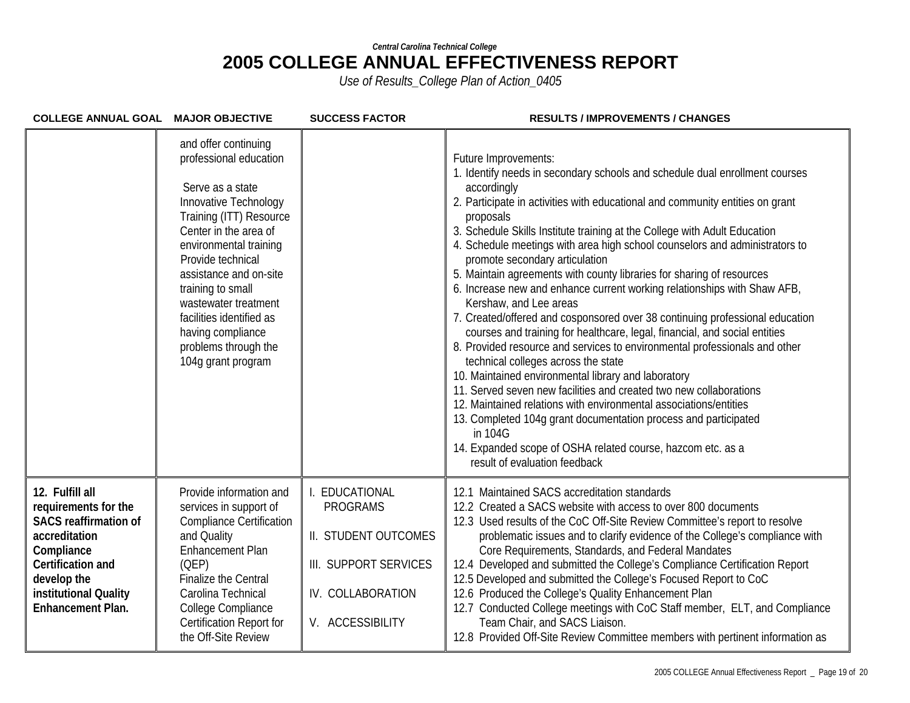| COLLEGE ANNUAL GOAL MAJOR OBJECTIVE                                                                                                                                                             |                                                                                                                                                                                                                                                                                                                                                                      | <b>SUCCESS FACTOR</b>                                                                                                    | <b>RESULTS / IMPROVEMENTS / CHANGES</b>                                                                                                                                                                                                                                                                                                                                                                                                                                                                                                                                                                                                                                                                                                                                                                                                                                                                                                                                                                                                                                                                                                                                                                                                                          |
|-------------------------------------------------------------------------------------------------------------------------------------------------------------------------------------------------|----------------------------------------------------------------------------------------------------------------------------------------------------------------------------------------------------------------------------------------------------------------------------------------------------------------------------------------------------------------------|--------------------------------------------------------------------------------------------------------------------------|------------------------------------------------------------------------------------------------------------------------------------------------------------------------------------------------------------------------------------------------------------------------------------------------------------------------------------------------------------------------------------------------------------------------------------------------------------------------------------------------------------------------------------------------------------------------------------------------------------------------------------------------------------------------------------------------------------------------------------------------------------------------------------------------------------------------------------------------------------------------------------------------------------------------------------------------------------------------------------------------------------------------------------------------------------------------------------------------------------------------------------------------------------------------------------------------------------------------------------------------------------------|
|                                                                                                                                                                                                 | and offer continuing<br>professional education<br>Serve as a state<br>Innovative Technology<br>Training (ITT) Resource<br>Center in the area of<br>environmental training<br>Provide technical<br>assistance and on-site<br>training to small<br>wastewater treatment<br>facilities identified as<br>having compliance<br>problems through the<br>104g grant program |                                                                                                                          | Future Improvements:<br>1. Identify needs in secondary schools and schedule dual enrollment courses<br>accordingly<br>2. Participate in activities with educational and community entities on grant<br>proposals<br>3. Schedule Skills Institute training at the College with Adult Education<br>4. Schedule meetings with area high school counselors and administrators to<br>promote secondary articulation<br>5. Maintain agreements with county libraries for sharing of resources<br>6. Increase new and enhance current working relationships with Shaw AFB,<br>Kershaw, and Lee areas<br>7. Created/offered and cosponsored over 38 continuing professional education<br>courses and training for healthcare, legal, financial, and social entities<br>8. Provided resource and services to environmental professionals and other<br>technical colleges across the state<br>10. Maintained environmental library and laboratory<br>11. Served seven new facilities and created two new collaborations<br>12. Maintained relations with environmental associations/entities<br>13. Completed 104g grant documentation process and participated<br>in 104G<br>14. Expanded scope of OSHA related course, hazcom etc. as a<br>result of evaluation feedback |
| 12. Fulfill all<br>requirements for the<br><b>SACS reaffirmation of</b><br>accreditation<br>Compliance<br>Certification and<br>develop the<br>institutional Quality<br><b>Enhancement Plan.</b> | Provide information and<br>services in support of<br><b>Compliance Certification</b><br>and Quality<br>Enhancement Plan<br>(OEP)<br><b>Finalize the Central</b><br>Carolina Technical<br>College Compliance<br>Certification Report for<br>the Off-Site Review                                                                                                       | EDUCATIONAL<br><b>PROGRAMS</b><br>II. STUDENT OUTCOMES<br>III. SUPPORT SERVICES<br>IV. COLLABORATION<br>V. ACCESSIBILITY | 12.1 Maintained SACS accreditation standards<br>12.2 Created a SACS website with access to over 800 documents<br>12.3 Used results of the CoC Off-Site Review Committee's report to resolve<br>problematic issues and to clarify evidence of the College's compliance with<br>Core Requirements, Standards, and Federal Mandates<br>12.4 Developed and submitted the College's Compliance Certification Report<br>12.5 Developed and submitted the College's Focused Report to CoC<br>12.6 Produced the College's Quality Enhancement Plan<br>12.7 Conducted College meetings with CoC Staff member, ELT, and Compliance<br>Team Chair, and SACS Liaison.<br>12.8 Provided Off-Site Review Committee members with pertinent information as                                                                                                                                                                                                                                                                                                                                                                                                                                                                                                                       |